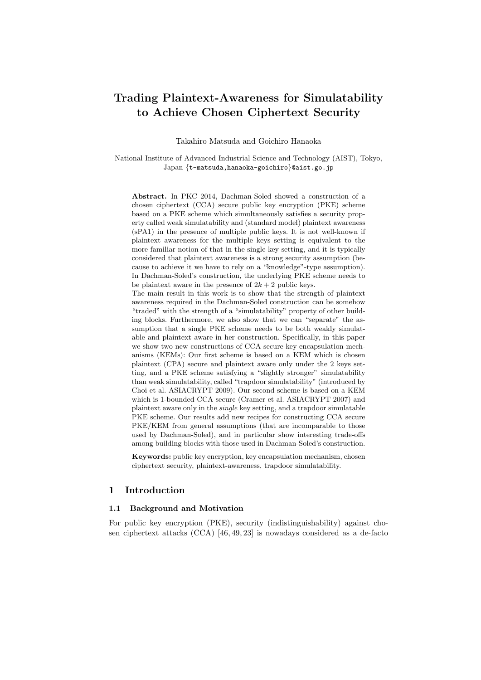# **Trading Plaintext-Awareness for Simulatability to Achieve Chosen Ciphertext Security**

Takahiro Matsuda and Goichiro Hanaoka

National Institute of Advanced Industrial Science and Technology (AIST), Tokyo, Japan *{*t-matsuda,hanaoka-goichiro*}*@aist.go.jp

**Abstract.** In PKC 2014, Dachman-Soled showed a construction of a chosen ciphertext (CCA) secure public key encryption (PKE) scheme based on a PKE scheme which simultaneously satisfies a security property called weak simulatability and (standard model) plaintext awareness (sPA1) in the presence of multiple public keys. It is not well-known if plaintext awareness for the multiple keys setting is equivalent to the more familiar notion of that in the single key setting, and it is typically considered that plaintext awareness is a strong security assumption (because to achieve it we have to rely on a "knowledge"-type assumption). In Dachman-Soled's construction, the underlying PKE scheme needs to be plaintext aware in the presence of  $2k + 2$  public keys.

The main result in this work is to show that the strength of plaintext awareness required in the Dachman-Soled construction can be somehow "traded" with the strength of a "simulatability" property of other building blocks. Furthermore, we also show that we can "separate" the assumption that a single PKE scheme needs to be both weakly simulatable and plaintext aware in her construction. Specifically, in this paper we show two new constructions of CCA secure key encapsulation mechanisms (KEMs): Our first scheme is based on a KEM which is chosen plaintext (CPA) secure and plaintext aware only under the 2 keys setting, and a PKE scheme satisfying a "slightly stronger" simulatability than weak simulatability, called "trapdoor simulatability" (introduced by Choi et al. ASIACRYPT 2009). Our second scheme is based on a KEM which is 1-bounded CCA secure (Cramer et al. ASIACRYPT 2007) and plaintext aware only in the *single* key setting, and a trapdoor simulatable PKE scheme. Our results add new recipes for constructing CCA secure PKE/KEM from general assumptions (that are incomparable to those used by Dachman-Soled), and in particular show interesting trade-offs among building blocks with those used in Dachman-Soled's construction.

**Keywords:** public key encryption, key encapsulation mechanism, chosen ciphertext security, plaintext-awareness, trapdoor simulatability.

## **1 Introduction**

#### **1.1 Background and Motivation**

For public key encryption (PKE), security (indistinguishability) against chosen ciphertext attacks (CCA) [46, 49, 23] is nowadays considered as a de-facto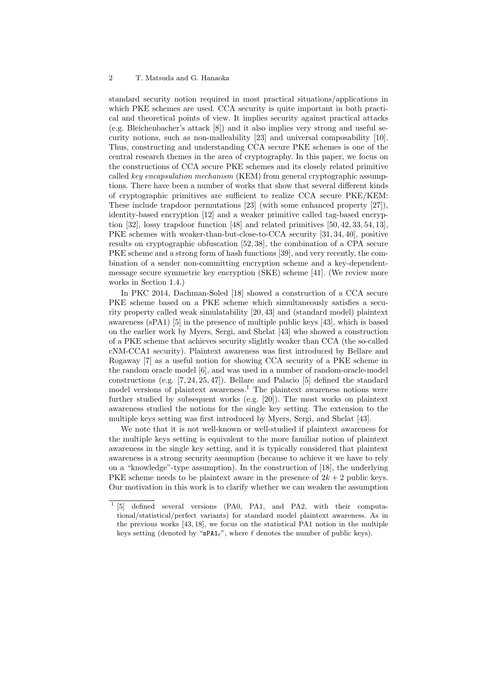standard security notion required in most practical situations/applications in which PKE schemes are used. CCA security is quite important in both practical and theoretical points of view. It implies security against practical attacks (e.g. Bleichenbacher's attack [8]) and it also implies very strong and useful security notions, such as non-malleability [23] and universal composability [10]. Thus, constructing and understanding CCA secure PKE schemes is one of the central research themes in the area of cryptography. In this paper, we focus on the constructions of CCA secure PKE schemes and its closely related primitive called *key encapsulation mechanism* (KEM) from general cryptographic assumptions. There have been a number of works that show that several different kinds of cryptographic primitives are sufficient to realize CCA secure PKE/KEM: These include trapdoor permutations [23] (with some enhanced property [27]), identity-based encryption [12] and a weaker primitive called tag-based encryption [32], lossy trapdoor function [48] and related primitives [50, 42, 33, 54, 13], PKE schemes with weaker-than-but-close-to-CCA security [31, 34, 40], positive results on cryptographic obfuscation [52, 38], the combination of a CPA secure PKE scheme and a strong form of hash functions [39], and very recently, the combination of a sender non-committing encryption scheme and a key-dependentmessage secure symmetric key encryption (SKE) scheme [41]. (We review more works in Section 1.4.)

In PKC 2014, Dachman-Soled [18] showed a construction of a CCA secure PKE scheme based on a PKE scheme which simultaneously satisfies a security property called weak simulatability [20, 43] and (standard model) plaintext awareness (sPA1) [5] in the presence of multiple public keys [43], which is based on the earlier work by Myers, Sergi, and Shelat [43] who showed a construction of a PKE scheme that achieves security slightly weaker than CCA (the so-called cNM-CCA1 security). Plaintext awareness was first introduced by Bellare and Rogaway [7] as a useful notion for showing CCA security of a PKE scheme in the random oracle model [6], and was used in a number of random-oracle-model constructions (e.g. [7, 24, 25, 47]). Bellare and Palacio [5] defined the standard model versions of plaintext awareness.<sup>1</sup> The plaintext awareness notions were further studied by subsequent works (e.g. [20]). The most works on plaintext awareness studied the notions for the single key setting. The extension to the multiple keys setting was first introduced by Myers, Sergi, and Shelat [43].

We note that it is not well-known or well-studied if plaintext awareness for the multiple keys setting is equivalent to the more familiar notion of plaintext awareness in the single key setting, and it is typically considered that plaintext awareness is a strong security assumption (because to achieve it we have to rely on a "knowledge"-type assumption). In the construction of [18], the underlying PKE scheme needs to be plaintext aware in the presence of  $2k + 2$  public keys. Our motivation in this work is to clarify whether we can weaken the assumption

 $^{-1}$  [5] defined several versions (PA0, PA1, and PA2, with their computational/statistical/perfect variants) for standard model plaintext awareness. As in the previous works [43, 18], we focus on the statistical PA1 notion in the multiple keys setting (denoted by "sPA1*ℓ*", where *ℓ* denotes the number of public keys).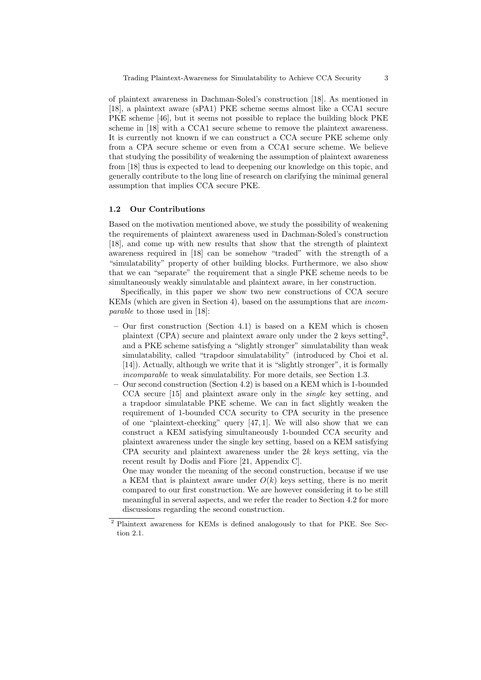of plaintext awareness in Dachman-Soled's construction [18]. As mentioned in [18], a plaintext aware (sPA1) PKE scheme seems almost like a CCA1 secure PKE scheme [46], but it seems not possible to replace the building block PKE scheme in [18] with a CCA1 secure scheme to remove the plaintext awareness. It is currently not known if we can construct a CCA secure PKE scheme only from a CPA secure scheme or even from a CCA1 secure scheme. We believe that studying the possibility of weakening the assumption of plaintext awareness from [18] thus is expected to lead to deepening our knowledge on this topic, and generally contribute to the long line of research on clarifying the minimal general assumption that implies CCA secure PKE.

## **1.2 Our Contributions**

Based on the motivation mentioned above, we study the possibility of weakening the requirements of plaintext awareness used in Dachman-Soled's construction [18], and come up with new results that show that the strength of plaintext awareness required in [18] can be somehow "traded" with the strength of a "simulatability" property of other building blocks. Furthermore, we also show that we can "separate" the requirement that a single PKE scheme needs to be simultaneously weakly simulatable and plaintext aware, in her construction.

Specifically, in this paper we show two new constructions of CCA secure KEMs (which are given in Section 4), based on the assumptions that are *incomparable* to those used in [18]:

- **–** Our first construction (Section 4.1) is based on a KEM which is chosen plaintext (CPA) secure and plaintext aware only under the 2 keys setting<sup>2</sup>, and a PKE scheme satisfying a "slightly stronger" simulatability than weak simulatability, called "trapdoor simulatability" (introduced by Choi et al. [14]). Actually, although we write that it is "slightly stronger", it is formally *incomparable* to weak simulatability. For more details, see Section 1.3.
- **–** Our second construction (Section 4.2) is based on a KEM which is 1-bounded CCA secure [15] and plaintext aware only in the *single* key setting, and a trapdoor simulatable PKE scheme. We can in fact slightly weaken the requirement of 1-bounded CCA security to CPA security in the presence of one "plaintext-checking" query [47, 1]. We will also show that we can construct a KEM satisfying simultaneously 1-bounded CCA security and plaintext awareness under the single key setting, based on a KEM satisfying CPA security and plaintext awareness under the 2*k* keys setting, via the recent result by Dodis and Fiore [21, Appendix C].

One may wonder the meaning of the second construction, because if we use a KEM that is plaintext aware under  $O(k)$  keys setting, there is no merit compared to our first construction. We are however considering it to be still meaningful in several aspects, and we refer the reader to Section 4.2 for more discussions regarding the second construction.

<sup>2</sup> Plaintext awareness for KEMs is defined analogously to that for PKE. See Section 2.1.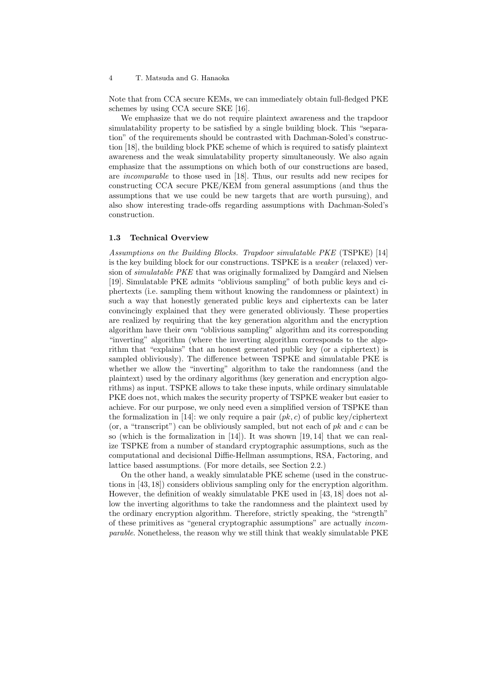Note that from CCA secure KEMs, we can immediately obtain full-fledged PKE schemes by using CCA secure SKE [16].

We emphasize that we do not require plaintext awareness and the trapdoor simulatability property to be satisfied by a single building block. This "separation" of the requirements should be contrasted with Dachman-Soled's construction [18], the building block PKE scheme of which is required to satisfy plaintext awareness and the weak simulatability property simultaneously. We also again emphasize that the assumptions on which both of our constructions are based, are *incomparable* to those used in [18]. Thus, our results add new recipes for constructing CCA secure PKE/KEM from general assumptions (and thus the assumptions that we use could be new targets that are worth pursuing), and also show interesting trade-offs regarding assumptions with Dachman-Soled's construction.

#### **1.3 Technical Overview**

*Assumptions on the Building Blocks. Trapdoor simulatable PKE* (TSPKE) [14] is the key building block for our constructions. TSPKE is a *weaker* (relaxed) version of *simulatable PKE* that was originally formalized by Damgård and Nielsen [19]. Simulatable PKE admits "oblivious sampling" of both public keys and ciphertexts (i.e. sampling them without knowing the randomness or plaintext) in such a way that honestly generated public keys and ciphertexts can be later convincingly explained that they were generated obliviously. These properties are realized by requiring that the key generation algorithm and the encryption algorithm have their own "oblivious sampling" algorithm and its corresponding "inverting" algorithm (where the inverting algorithm corresponds to the algorithm that "explains" that an honest generated public key (or a ciphertext) is sampled obliviously). The difference between TSPKE and simulatable PKE is whether we allow the "inverting" algorithm to take the randomness (and the plaintext) used by the ordinary algorithms (key generation and encryption algorithms) as input. TSPKE allows to take these inputs, while ordinary simulatable PKE does not, which makes the security property of TSPKE weaker but easier to achieve. For our purpose, we only need even a simplified version of TSPKE than the formalization in [14]: we only require a pair  $(pk, c)$  of public key/ciphertext (or, a "transcript") can be obliviously sampled, but not each of *pk* and *c* can be so (which is the formalization in [14]). It was shown [19, 14] that we can realize TSPKE from a number of standard cryptographic assumptions, such as the computational and decisional Diffie-Hellman assumptions, RSA, Factoring, and lattice based assumptions. (For more details, see Section 2.2.)

On the other hand, a weakly simulatable PKE scheme (used in the constructions in [43, 18]) considers oblivious sampling only for the encryption algorithm. However, the definition of weakly simulatable PKE used in [43, 18] does not allow the inverting algorithms to take the randomness and the plaintext used by the ordinary encryption algorithm. Therefore, strictly speaking, the "strength" of these primitives as "general cryptographic assumptions" are actually *incomparable*. Nonetheless, the reason why we still think that weakly simulatable PKE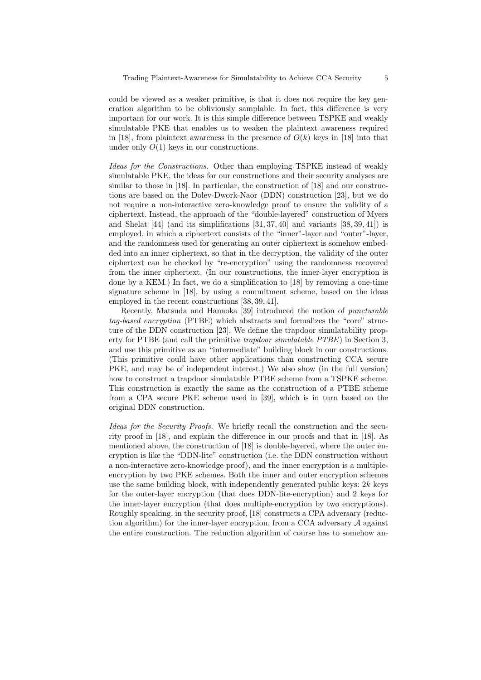could be viewed as a weaker primitive, is that it does not require the key generation algorithm to be obliviously samplable. In fact, this difference is very important for our work. It is this simple difference between TSPKE and weakly simulatable PKE that enables us to weaken the plaintext awareness required in [18], from plaintext awareness in the presence of  $O(k)$  keys in [18] into that under only  $O(1)$  keys in our constructions.

*Ideas for the Constructions.* Other than employing TSPKE instead of weakly simulatable PKE, the ideas for our constructions and their security analyses are similar to those in [18]. In particular, the construction of [18] and our constructions are based on the Dolev-Dwork-Naor (DDN) construction [23], but we do not require a non-interactive zero-knowledge proof to ensure the validity of a ciphertext. Instead, the approach of the "double-layered" construction of Myers and Shelat [44] (and its simplifications [31, 37, 40] and variants [38, 39, 41]) is employed, in which a ciphertext consists of the "inner"-layer and "outer"-layer, and the randomness used for generating an outer ciphertext is somehow embedded into an inner ciphertext, so that in the decryption, the validity of the outer ciphertext can be checked by "re-encryption" using the randomness recovered from the inner ciphertext. (In our constructions, the inner-layer encryption is done by a KEM.) In fact, we do a simplification to [18] by removing a one-time signature scheme in [18], by using a commitment scheme, based on the ideas employed in the recent constructions [38, 39, 41].

Recently, Matsuda and Hanaoka [39] introduced the notion of *puncturable tag-based encryption* (PTBE) which abstracts and formalizes the "core" structure of the DDN construction [23]. We define the trapdoor simulatability property for PTBE (and call the primitive *trapdoor simulatable PTBE*) in Section 3, and use this primitive as an "intermediate" building block in our constructions. (This primitive could have other applications than constructing CCA secure PKE, and may be of independent interest.) We also show (in the full version) how to construct a trapdoor simulatable PTBE scheme from a TSPKE scheme. This construction is exactly the same as the construction of a PTBE scheme from a CPA secure PKE scheme used in [39], which is in turn based on the original DDN construction.

*Ideas for the Security Proofs.* We briefly recall the construction and the security proof in [18], and explain the difference in our proofs and that in [18]. As mentioned above, the construction of [18] is double-layered, where the outer encryption is like the "DDN-lite" construction (i.e. the DDN construction without a non-interactive zero-knowledge proof), and the inner encryption is a multipleencryption by two PKE schemes. Both the inner and outer encryption schemes use the same building block, with independently generated public keys:  $2k$  keys for the outer-layer encryption (that does DDN-lite-encryption) and 2 keys for the inner-layer encryption (that does multiple-encryption by two encryptions). Roughly speaking, in the security proof, [18] constructs a CPA adversary (reduction algorithm) for the inner-layer encryption, from a CCA adversary *A* against the entire construction. The reduction algorithm of course has to somehow an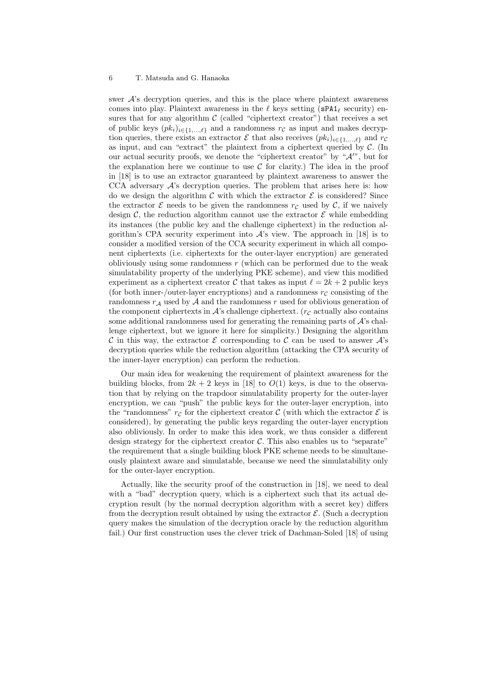swer *A*'s decryption queries, and this is the place where plaintext awareness comes into play. Plaintext awareness in the *ℓ* keys setting (sPA1*<sup>ℓ</sup>* security) ensures that for any algorithm  $C$  (called "ciphertext creator") that receives a set of public keys  $(pk_i)_{i \in \{1,\ldots,\ell\}}$  and a randomness  $r_c$  as input and makes decryption queries, there exists an extractor  $\mathcal{E}$  that also receives  $(pk_i)_{i \in \{1,...,\ell\}}$  and  $rc$ as input, and can "extract" the plaintext from a ciphertext queried by *C*. (In our actual security proofs, we denote the "ciphertext creator" by "*A′*", but for the explanation here we continue to use  $\mathcal C$  for clarity.) The idea in the proof in [18] is to use an extractor guaranteed by plaintext awareness to answer the CCA adversary *A*'s decryption queries. The problem that arises here is: how do we design the algorithm  $C$  with which the extractor  $\mathcal E$  is considered? Since the extractor  $\mathcal E$  needs to be given the randomness  $r_{\mathcal C}$  used by  $\mathcal C$ , if we naively design  $\mathcal{C}$ , the reduction algorithm cannot use the extractor  $\mathcal{E}$  while embedding its instances (the public key and the challenge ciphertext) in the reduction algorithm's CPA security experiment into  $A$ 's view. The approach in [18] is to consider a modified version of the CCA security experiment in which all component ciphertexts (i.e. ciphertexts for the outer-layer encryption) are generated obliviously using some randomness *r* (which can be performed due to the weak simulatability property of the underlying PKE scheme), and view this modified experiment as a ciphertext creator  $\mathcal C$  that takes as input  $\ell = 2k + 2$  public keys (for both inner-/outer-layer encryptions) and a randomness  $r_c$  consisting of the randomness  $r_A$  used by  $A$  and the randomness  $r$  used for oblivious generation of the component ciphertexts in  $\mathcal{A}$ 's challenge ciphertext. ( $r_c$  actually also contains some additional randomness used for generating the remaining parts of *A*'s challenge ciphertext, but we ignore it here for simplicity.) Designing the algorithm *C* in this way, the extractor  $\mathcal E$  corresponding to  $\mathcal C$  can be used to answer  $\mathcal A$ 's decryption queries while the reduction algorithm (attacking the CPA security of the inner-layer encryption) can perform the reduction.

Our main idea for weakening the requirement of plaintext awareness for the building blocks, from  $2k + 2$  keys in [18] to  $O(1)$  keys, is due to the observation that by relying on the trapdoor simulatability property for the outer-layer encryption, we can "push" the public keys for the outer-layer encryption, into the "randomness"  $r_c$  for the ciphertext creator  $\mathcal C$  (with which the extractor  $\mathcal E$  is considered), by generating the public keys regarding the outer-layer encryption also obliviously. In order to make this idea work, we thus consider a different design strategy for the ciphertext creator  $\mathcal{C}$ . This also enables us to "separate" the requirement that a single building block PKE scheme needs to be simultaneously plaintext aware and simulatable, because we need the simulatability only for the outer-layer encryption.

Actually, like the security proof of the construction in [18], we need to deal with a "bad" decryption query, which is a ciphertext such that its actual decryption result (by the normal decryption algorithm with a secret key) differs from the decryption result obtained by using the extractor  $\mathcal{E}$ . (Such a decryption query makes the simulation of the decryption oracle by the reduction algorithm fail.) Our first construction uses the clever trick of Dachman-Soled [18] of using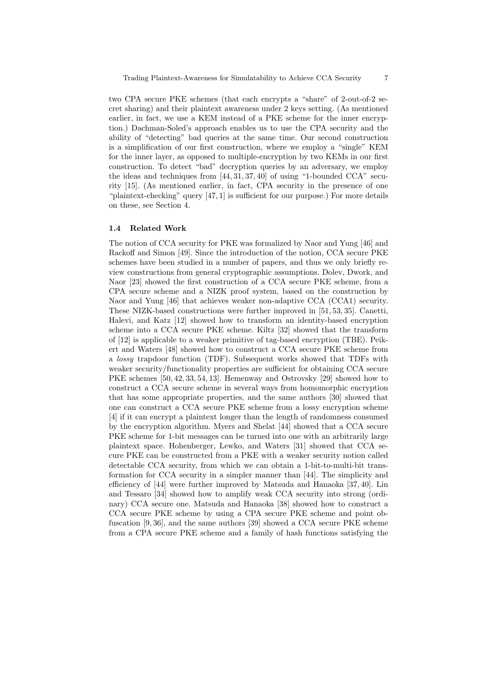two CPA secure PKE schemes (that each encrypts a "share" of 2-out-of-2 secret sharing) and their plaintext awareness under 2 keys setting. (As mentioned earlier, in fact, we use a KEM instead of a PKE scheme for the inner encryption.) Dachman-Soled's approach enables us to use the CPA security and the ability of "detecting" bad queries at the same time. Our second construction is a simplification of our first construction, where we employ a "single" KEM for the inner layer, as opposed to multiple-encryption by two KEMs in our first construction. To detect "bad" decryption queries by an adversary, we employ the ideas and techniques from [44, 31, 37, 40] of using "1-bounded CCA" security [15]. (As mentioned earlier, in fact, CPA security in the presence of one "plaintext-checking" query [47, 1] is sufficient for our purpose.) For more details on these, see Section 4.

#### **1.4 Related Work**

The notion of CCA security for PKE was formalized by Naor and Yung [46] and Rackoff and Simon [49]. Since the introduction of the notion, CCA secure PKE schemes have been studied in a number of papers, and thus we only briefly review constructions from general cryptographic assumptions. Dolev, Dwork, and Naor [23] showed the first construction of a CCA secure PKE scheme, from a CPA secure scheme and a NIZK proof system, based on the construction by Naor and Yung [46] that achieves weaker non-adaptive CCA (CCA1) security. These NIZK-based constructions were further improved in [51, 53, 35]. Canetti, Halevi, and Katz [12] showed how to transform an identity-based encryption scheme into a CCA secure PKE scheme. Kiltz [32] showed that the transform of [12] is applicable to a weaker primitive of tag-based encryption (TBE). Peikert and Waters [48] showed how to construct a CCA secure PKE scheme from a *lossy* trapdoor function (TDF). Subsequent works showed that TDFs with weaker security/functionality properties are sufficient for obtaining CCA secure PKE schemes [50, 42, 33, 54, 13]. Hemenway and Ostrovsky [29] showed how to construct a CCA secure scheme in several ways from homomorphic encryption that has some appropriate properties, and the same authors [30] showed that one can construct a CCA secure PKE scheme from a lossy encryption scheme [4] if it can encrypt a plaintext longer than the length of randomness consumed by the encryption algorithm. Myers and Shelat [44] showed that a CCA secure PKE scheme for 1-bit messages can be turned into one with an arbitrarily large plaintext space. Hohenberger, Lewko, and Waters [31] showed that CCA secure PKE can be constructed from a PKE with a weaker security notion called detectable CCA security, from which we can obtain a 1-bit-to-multi-bit transformation for CCA security in a simpler manner than [44]. The simplicity and efficiency of [44] were further improved by Matsuda and Hanaoka [37, 40]. Lin and Tessaro [34] showed how to amplify weak CCA security into strong (ordinary) CCA secure one. Matsuda and Hanaoka [38] showed how to construct a CCA secure PKE scheme by using a CPA secure PKE scheme and point obfuscation [9, 36], and the same authors [39] showed a CCA secure PKE scheme from a CPA secure PKE scheme and a family of hash functions satisfying the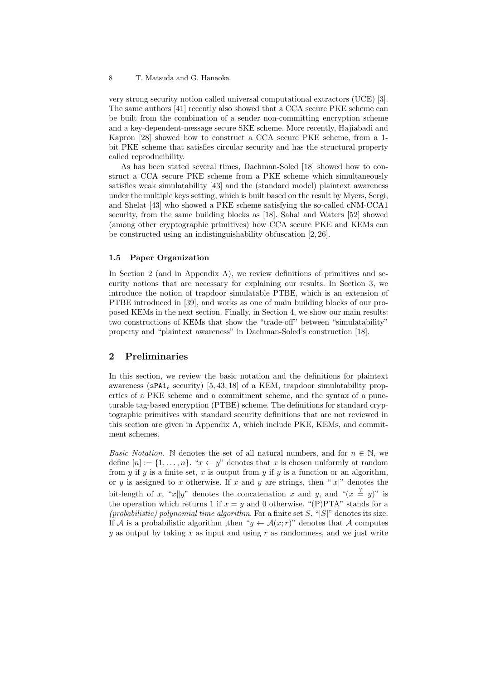very strong security notion called universal computational extractors (UCE) [3]. The same authors [41] recently also showed that a CCA secure PKE scheme can be built from the combination of a sender non-committing encryption scheme and a key-dependent-message secure SKE scheme. More recently, Hajiabadi and Kapron [28] showed how to construct a CCA secure PKE scheme, from a 1 bit PKE scheme that satisfies circular security and has the structural property called reproducibility.

As has been stated several times, Dachman-Soled [18] showed how to construct a CCA secure PKE scheme from a PKE scheme which simultaneously satisfies weak simulatability [43] and the (standard model) plaintext awareness under the multiple keys setting, which is built based on the result by Myers, Sergi, and Shelat [43] who showed a PKE scheme satisfying the so-called cNM-CCA1 security, from the same building blocks as [18]. Sahai and Waters [52] showed (among other cryptographic primitives) how CCA secure PKE and KEMs can be constructed using an indistinguishability obfuscation [2, 26].

#### **1.5 Paper Organization**

In Section 2 (and in Appendix A), we review definitions of primitives and security notions that are necessary for explaining our results. In Section 3, we introduce the notion of trapdoor simulatable PTBE, which is an extension of PTBE introduced in [39], and works as one of main building blocks of our proposed KEMs in the next section. Finally, in Section 4, we show our main results: two constructions of KEMs that show the "trade-off" between "simulatability" property and "plaintext awareness" in Dachman-Soled's construction [18].

## **2 Preliminaries**

In this section, we review the basic notation and the definitions for plaintext awareness ( $sPA1<sub>ℓ</sub>$  security) [5, 43, 18] of a KEM, trapdoor simulatability properties of a PKE scheme and a commitment scheme, and the syntax of a puncturable tag-based encryption (PTBE) scheme. The definitions for standard cryptographic primitives with standard security definitions that are not reviewed in this section are given in Appendix A, which include PKE, KEMs, and commitment schemes.

*Basic Notation.* N denotes the set of all natural numbers, and for  $n \in \mathbb{N}$ , we define  $[n] := \{1, \ldots, n\}$ . " $x \leftarrow y$ " denotes that *x* is chosen uniformly at random from  $y$  if  $y$  is a finite set,  $x$  is output from  $y$  if  $y$  is a function or an algorithm, or *y* is assigned to *x* otherwise. If *x* and *y* are strings, then " $|x|$ " denotes the bit-length of *x*, "*x*||*y*" denotes the concatenation *x* and *y*, and " $(x \stackrel{?}{=} y)$ " is the operation which returns 1 if  $x = y$  and 0 otherwise. "(P)PTA" stands for a *(probabilistic) polynomial time algorithm*. For a finite set *S*, "*|S|*" denotes its size. If *A* is a probabilistic algorithm, then " $y \leftarrow \mathcal{A}(x; r)$ " denotes that *A* computes *y* as output by taking *x* as input and using *r* as randomness, and we just write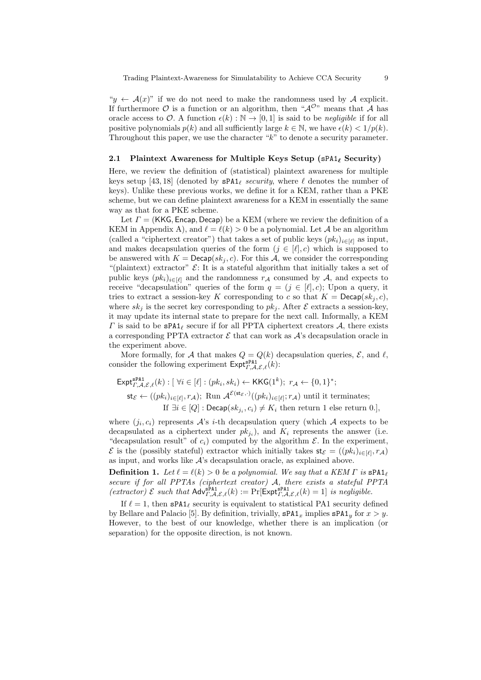$\forall y \leftarrow A(x)$ " if we do not need to make the randomness used by A explicit. If furthermore  $\mathcal O$  is a function or an algorithm, then " $\mathcal A^{\mathcal O}$ " means that  $\mathcal A$  has oracle access to  $\mathcal{O}$ . A function  $\epsilon(k): \mathbb{N} \to [0,1]$  is said to be *negligible* if for all positive polynomials  $p(k)$  and all sufficiently large  $k \in \mathbb{N}$ , we have  $\epsilon(k) < 1/p(k)$ . Throughout this paper, we use the character "*k*" to denote a security parameter.

#### **2.1 Plaintext Awareness for Multiple Keys Setup (**sPA1*<sup>ℓ</sup>* **Security)**

Here, we review the definition of (statistical) plaintext awareness for multiple keys setup [43, 18] (denoted by sPA1*<sup>ℓ</sup> security*, where *ℓ* denotes the number of keys). Unlike these previous works, we define it for a KEM, rather than a PKE scheme, but we can define plaintext awareness for a KEM in essentially the same way as that for a PKE scheme.

Let *Γ* = (KKG*,* Encap*,* Decap) be a KEM (where we review the definition of a KEM in Appendix A), and  $\ell = \ell(k) > 0$  be a polynomial. Let A be an algorithm (called a "ciphertext creator") that takes a set of public keys  $(pk_i)_{i \in [\ell]}$  as input, and makes decapsulation queries of the form  $(j \in [\ell], c)$  which is supposed to be answered with  $K = \mathsf{Decap}(sk_i, c)$ . For this A, we consider the corresponding "(plaintext) extractor"  $\mathcal{E}$ : It is a stateful algorithm that initially takes a set of public keys  $(pk_i)_{i \in [\ell]}$  and the randomness  $r_A$  consumed by *A*, and expects to receive "decapsulation" queries of the form  $q = (j \in [\ell], c)$ ; Upon a query, it tries to extract a session-key *K* corresponding to *c* so that  $K = \text{Decap}(sk_i, c)$ , where  $sk_j$  is the secret key corresponding to  $pk_j$ . After  $\mathcal E$  extracts a session-key, it may update its internal state to prepare for the next call. Informally, a KEM *Γ* is said to be sPA1*<sup>ℓ</sup>* secure if for all PPTA ciphertext creators *A*, there exists a corresponding PPTA extractor  $\mathcal E$  that can work as  $\mathcal A$ 's decapsulation oracle in the experiment above.

More formally, for *A* that makes  $Q = Q(k)$  decapsulation queries,  $\mathcal{E}$ , and  $\ell$ , consider the following experiment  $\textsf{Expt}_{\Gamma,\mathcal{A},\mathcal{E},\ell}^{\textsf{sPA1}}(k)$ :

$$
\mathsf{Expt}_{\varGamma,A,\mathcal{E},\ell}^{\mathsf{sPA1}}(k) : [\ \forall i \in [\ell] : (pk_i, sk_i) \leftarrow \mathsf{KKG}(1^k); \ r_A \leftarrow \{0,1\}^*;
$$
\n
$$
\mathsf{st}_{\mathcal{E}} \leftarrow ((pk_i)_{i \in [\ell]}, r_A); \ \text{Run } \mathcal{A}^{\mathcal{E}(\mathsf{st}_{\mathcal{E}},\cdot)}((pk_i)_{i \in [\ell]}; r_A) \ \text{until it terminates;}
$$
\n
$$
\text{If } \exists i \in [Q] : \mathsf{Decap}(sk_{j_i}, c_i) \neq K_i \ \text{then return 1 else return 0.},
$$

where  $(j_i, c_i)$  represents  $A$ 's *i*-th decapsulation query (which  $A$  expects to be decapsulated as a ciphertext under  $pk_{j_i}$ ), and  $K_i$  represents the answer (i.e. "decapsulation result" of  $c_i$ ) computed by the algorithm  $\mathcal E$ . In the experiment, *E* is the (possibly stateful) extractor which initially takes  $\mathsf{st}_{\mathcal{E}} = ((pk_i)_{i \in [\ell]}, r_\mathcal{A})$ as input, and works like *A*'s decapsulation oracle, as explained above.

**Definition 1.** *Let*  $\ell = \ell(k) > 0$  *be a polynomial. We say that a KEM*  $\Gamma$  *is*  $\text{span}_{\ell}$ *secure if for all PPTAs (ciphertext creator) A, there exists a stateful PPTA*  $(\text{extractor}) \ \mathcal{E} \ \text{such that} \ \mathsf{Adv}_{\Gamma,\mathcal{A},\mathcal{E},\ell}^{\texttt{P}\texttt{P}\texttt{1}}(k) := \Pr[\mathsf{Expt}_{\Gamma,\mathcal{A},\mathcal{E},\ell}^{\texttt{P}\texttt{P}\texttt{1}}(k) = 1] \ \text{is negligible.}$ 

If  $\ell = 1$ , then  $\text{sPA1}_{\ell}$  security is equivalent to statistical PA1 security defined by Bellare and Palacio [5]. By definition, trivially,  $\texttt{sPA1}_x$  implies  $\texttt{sPA1}_y$  for  $x > y$ . However, to the best of our knowledge, whether there is an implication (or separation) for the opposite direction, is not known.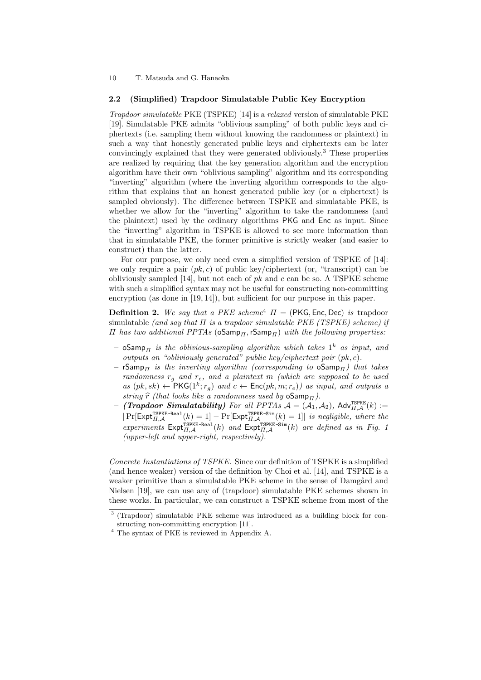#### **2.2 (Simplified) Trapdoor Simulatable Public Key Encryption**

*Trapdoor simulatable* PKE (TSPKE) [14] is a *relaxed* version of simulatable PKE [19]. Simulatable PKE admits "oblivious sampling" of both public keys and ciphertexts (i.e. sampling them without knowing the randomness or plaintext) in such a way that honestly generated public keys and ciphertexts can be later convincingly explained that they were generated obliviously.<sup>3</sup> These properties are realized by requiring that the key generation algorithm and the encryption algorithm have their own "oblivious sampling" algorithm and its corresponding "inverting" algorithm (where the inverting algorithm corresponds to the algorithm that explains that an honest generated public key (or a ciphertext) is sampled obviously). The difference between TSPKE and simulatable PKE, is whether we allow for the "inverting" algorithm to take the randomness (and the plaintext) used by the ordinary algorithms PKG and Enc as input. Since the "inverting" algorithm in TSPKE is allowed to see more information than that in simulatable PKE, the former primitive is strictly weaker (and easier to construct) than the latter.

For our purpose, we only need even a simplified version of TSPKE of [14]: we only require a pair  $(pk, c)$  of public key/ciphertext (or, "transcript) can be obliviously sampled [14], but not each of *pk* and *c* can be so. A TSPKE scheme with such a simplified syntax may not be useful for constructing non-committing encryption (as done in [19, 14]), but sufficient for our purpose in this paper.

**Definition 2.** We say that a PKE scheme<sup>4</sup>  $\Pi$  = (PKG, Enc, Dec) *is* trapdoor simulatable *(and say that Π is a trapdoor simulatable PKE (TSPKE) scheme) if Π has two additional PPTAs* (oSamp*Π,*rSamp*Π*) *with the following properties:*

- $\circ$ Samp $_{\varPi}$  *is the oblivious-sampling algorithm which takes*  $1^k$  *as input, and outputs an "obliviously generated" public key/ciphertext pair* (*pk, c*)*.*
- **–** rSamp*<sup>Π</sup> is the inverting algorithm (corresponding to* oSamp*Π) that takes randomness r<sup>g</sup> and re, and a plaintext m (which are supposed to be used*  $as (pk, sk) \leftarrow \text{PKG}(1^k; r_g) \text{ and } c \leftarrow \text{Enc}(pk, m; r_e) \text{) as input, and outputs a}$ *string*  $\hat{r}$  *(that looks like a randomness used by*  $oSamp<sub>*II*</sub>$ ).
- $-$  *(Trapdoor Simulatability)* For all PPTAs  $\mathcal{A} = (\overline{\mathcal{A}_1}, \mathcal{A}_2)$ , Adv $_{\overline{II}, \mathcal{A}}^{\text{ISPRE}}(k) :=$  $|Pr[Exp_{\Pi,\mathcal{A}}^{TSPKE-Real}(k) = 1] - Pr[Exp_{\Pi,\mathcal{A}}^{TSPKE-Sim}(k) = 1]|$  *is negligible, where the*  $experiments$   $\text{Expt}_{\Pi,\mathcal{A}}^{\text{TSPKE-Real}}(k)$  *and*  $\text{Expt}_{\Pi,\mathcal{A}}^{\text{TSPKE-Sim}}(k)$  *are defined as in Fig. 1 (upper-left and upper-right, respectively).*

*Concrete Instantiations of TSPKE.* Since our definition of TSPKE is a simplified (and hence weaker) version of the definition by Choi et al. [14], and TSPKE is a weaker primitive than a simulatable PKE scheme in the sense of Damgård and Nielsen [19], we can use any of (trapdoor) simulatable PKE schemes shown in these works. In particular, we can construct a TSPKE scheme from most of the

<sup>&</sup>lt;sup>3</sup> (Trapdoor) simulatable PKE scheme was introduced as a building block for constructing non-committing encryption [11].

<sup>4</sup> The syntax of PKE is reviewed in Appendix A.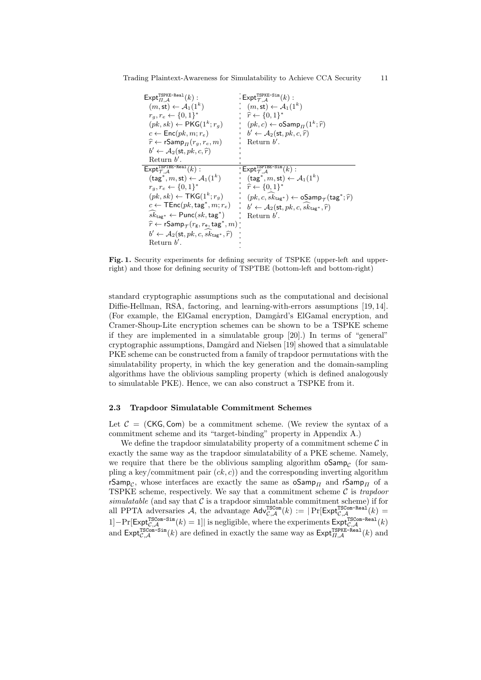$\mathsf{Expt}_{\Pi,\mathcal{A}}^{\mathsf{TSPKE-Real}}(k)$ :  $(m, \mathsf{st}) \leftarrow \mathcal{A}_1(1^k)$  $r_g, r_e \leftarrow \{0, 1\}^*$  $(pk, sk) \leftarrow \mathsf{PKG}(1^k; r_g)$  $c \leftarrow \mathsf{Enc}(pk, m; r_e)$  $\widehat{r} \leftarrow \text{rSamp}_{\Pi}(r_g, r_e, m)$  $b' \leftarrow \mathcal{A}_2(\mathsf{st}, pk, c, \widehat{r})$ Return *b ′* .  $\mathsf{Expt}_{\mathcal{T},\mathcal{A}}^{\mathsf{TSPKE-Sim}}(k)$ :  $(m, \mathsf{st}) \leftarrow \mathcal{A}_1(1^k)$ *<sup>r</sup>*<sup>b</sup> *← {*0*,* <sup>1</sup>*} ∗*  $(pk, c) \leftarrow \textsf{oSamp}_{\Pi}(1^k; \hat{r})$  $b' \leftarrow \mathcal{A}_2(\mathsf{st}, pk, c, \widehat{r})$ Return *b ′* .  $\mathsf{Expt}_{\mathcal{T},\mathcal{A}}^{\mathsf{TSPTBE-Real}}(k):$  $(\textsf{tag}^*, m, \textsf{st}) \leftarrow \mathcal{A}_1(1^k)$  $r_g, r_e \leftarrow \{0, 1\}^*$  $(pk, sk) \leftarrow \mathsf{TKG}(1^k; r_g)$  $c \leftarrow \mathsf{TEnc}(pk, \mathsf{tag}^*, m; r_e)$  $sk_{\textsf{tag}}* \gets \textsf{Punc}(sk,\textsf{tag}^*)$  $\widehat{r}$  ← **rS**amp<sub>*T*</sub>( $r$ <sub>g</sub>,  $r$ <sub>e</sub>, tag<sup>\*</sup>, *m*)  $b' \leftarrow \mathcal{A}_2(\mathsf{st}, pk, c, sk_{\mathsf{tag}^*}, \widehat{r})$ Return *b ′* .  $\mathsf{Expt}_{\mathcal{T},\mathcal{A}}^{\mathsf{TSPTBE-Sim}}(k):$  $(\textsf{tag}^*, m, \textsf{st}) \leftarrow \mathcal{A}_1(1^k)$ *<sup>r</sup>*<sup>b</sup> *← {*0*,* <sup>1</sup>*} ∗*  $(pk, c, sk_{\text{tag}}*) \leftarrow \textsf{oSamp}_{\mathcal{T}}(\textsf{tag}^*; \widehat{r})$  $b' \leftarrow \mathcal{A}_2(\mathsf{st}, pk, c, sk_{\mathsf{tag}*}, \widehat{r})$ Return *b ′* .

Trading Plaintext-Awareness for Simulatability to Achieve CCA Security 11

**Fig. 1.** Security experiments for defining security of TSPKE (upper-left and upperright) and those for defining security of TSPTBE (bottom-left and bottom-right)

standard cryptographic assumptions such as the computational and decisional Diffie-Hellman, RSA, factoring, and learning-with-errors assumptions [19, 14]. (For example, the ElGamal encryption, Damgård's ElGamal encryption, and Cramer-Shoup-Lite encryption schemes can be shown to be a TSPKE scheme if they are implemented in a simulatable group [20].) In terms of "general" cryptographic assumptions, Damgård and Nielsen [19] showed that a simulatable PKE scheme can be constructed from a family of trapdoor permutations with the simulatability property, in which the key generation and the domain-sampling algorithms have the oblivious sampling property (which is defined analogously to simulatable PKE). Hence, we can also construct a TSPKE from it.

#### **2.3 Trapdoor Simulatable Commitment Schemes**

Let  $C = (CKG, Com)$  be a commitment scheme. (We review the syntax of a commitment scheme and its "target-binding" property in Appendix A.)

We define the trapdoor simulatability property of a commitment scheme *C* in exactly the same way as the trapdoor simulatability of a PKE scheme. Namely, we require that there be the oblivious sampling algorithm  $oSamp_C$  (for sampling a key/commitment pair  $(ck, c)$ ) and the corresponding inverting algorithm rSamp<sub>C</sub>, whose interfaces are exactly the same as  $oSamp_{\Pi}$  and  $rSamp_{\Pi}$  of a TSPKE scheme, respectively. We say that a commitment scheme *C* is *trapdoor*  $simulatedble$  (and say that  $C$  is a trapdoor simulatable commitment scheme) if for all PPTA adversaries A, the advantage  $\mathsf{Adv}_{\mathcal{C},\mathcal{A}}^{\text{TSCom}}(k) := |\Pr[\mathsf{Expt}_{\mathcal{C},\mathcal{A}}^{\text{TSCom-Real}}(k) =$  $1]-Pr[Expt_{\mathcal{C},\mathcal{A}}^{TSCom-Sim}(k) = 1]$  is negligible, where the experiments  $Expt_{\mathcal{C},\mathcal{A}}^{TSCom-Real}(k)$ and  $\text{Expt}_{C,\mathcal{A}}^{\text{TSCom-Sim}}(k)$  are defined in exactly the same way as  $\text{Expt}_{II,\mathcal{A}}^{\text{TSPKE-Real}}(k)$  and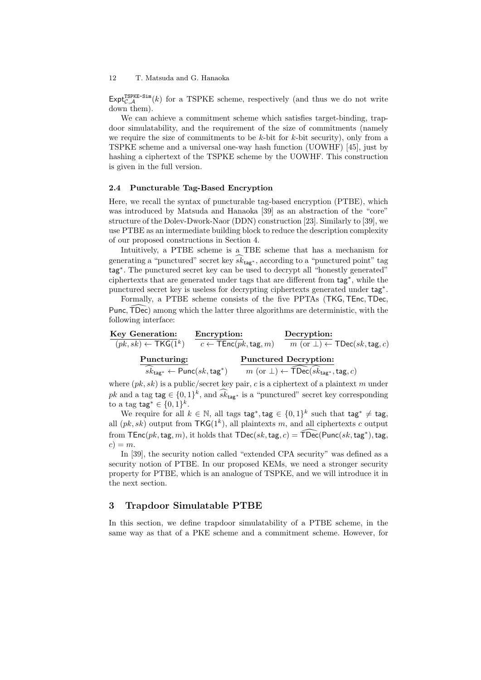$\textsf{Expt}_{\mathcal{C},\mathcal{A}}^{\text{TSPKE-Sim}}(k)$  for a TSPKE scheme, respectively (and thus we do not write down them).

We can achieve a commitment scheme which satisfies target-binding, trapdoor simulatability, and the requirement of the size of commitments (namely we require the size of commitments to be *k*-bit for *k*-bit security), only from a TSPKE scheme and a universal one-way hash function (UOWHF) [45], just by hashing a ciphertext of the TSPKE scheme by the UOWHF. This construction is given in the full version.

#### **2.4 Puncturable Tag-Based Encryption**

Here, we recall the syntax of puncturable tag-based encryption (PTBE), which was introduced by Matsuda and Hanaoka [39] as an abstraction of the "core" structure of the Dolev-Dwork-Naor (DDN) construction [23]. Similarly to [39], we use PTBE as an intermediate building block to reduce the description complexity of our proposed constructions in Section 4.

Intuitively, a PTBE scheme is a TBE scheme that has a mechanism for generating a "punctured" secret key  $s\hat{k}_{\text{tag}*}$ , according to a "punctured point" tag tag*<sup>∗</sup>* . The punctured secret key can be used to decrypt all "honestly generated" ciphertexts that are generated under tags that are different from tag*<sup>∗</sup>* , while the punctured secret key is useless for decrypting ciphertexts generated under tag*<sup>∗</sup>* .

Formally, a PTBE scheme consists of the five PPTAs (TKG*,*TEnc*,*TDec*,* Punc, TDec) among which the latter three algorithms are deterministic, with the following interface:

| Key Generation:                                           | Encryption:                                       | Decryption:                                                                                  |
|-----------------------------------------------------------|---------------------------------------------------|----------------------------------------------------------------------------------------------|
| $(pk, sk) \leftarrow \mathsf{TKG}(1^k)$                   | $c \leftarrow \mathsf{TEnc}(pk, \mathsf{tag}, m)$ | $m(\text{or }\perp) \leftarrow \text{TDec}(sk,\text{tag},c)$                                 |
| Puncturing:                                               |                                                   | <b>Punctured Decryption:</b>                                                                 |
| $sk_{\text{tag}*} \leftarrow \text{Punc}(sk,\text{tag*})$ |                                                   | $m(\text{or }\bot) \leftarrow \widehat{\mathsf{TDec}}(sk_{\mathtt{tag}^*}, \mathtt{tag}, c)$ |

where (*pk, sk*) is a public/secret key pair, *c* is a ciphertext of a plaintext *m* under *pk* and a tag tag  $\in \{0, 1\}^k$ , and  $s\hat{k}_{\text{tag}*}$  is a "punctured" secret key corresponding to a tag  $\text{tag } \in \{0,1\}^k$ .

We require for all  $k \in \mathbb{N}$ , all tags  $\text{tag}^*$ ,  $\text{tag}^* \in \{0,1\}^k$  such that  $\text{tag}^* \neq \text{tag}^*$ all  $(pk, sk)$  output from  $TKG(1^k)$ , all plaintexts *m*, and all ciphertexts *c* output from  $\mathsf{TEnc}(pk, \mathsf{tag}, m)$ , it holds that  $\mathsf{TDec}(sk, \mathsf{tag}, c) = \mathsf{\widehat{TDec}}(\mathsf{Punc}(sk, \mathsf{tag}^*), \mathsf{tag},$  $c) = m$ .

In [39], the security notion called "extended CPA security" was defined as a security notion of PTBE. In our proposed KEMs, we need a stronger security property for PTBE, which is an analogue of TSPKE, and we will introduce it in the next section.

## **3 Trapdoor Simulatable PTBE**

In this section, we define trapdoor simulatability of a PTBE scheme, in the same way as that of a PKE scheme and a commitment scheme. However, for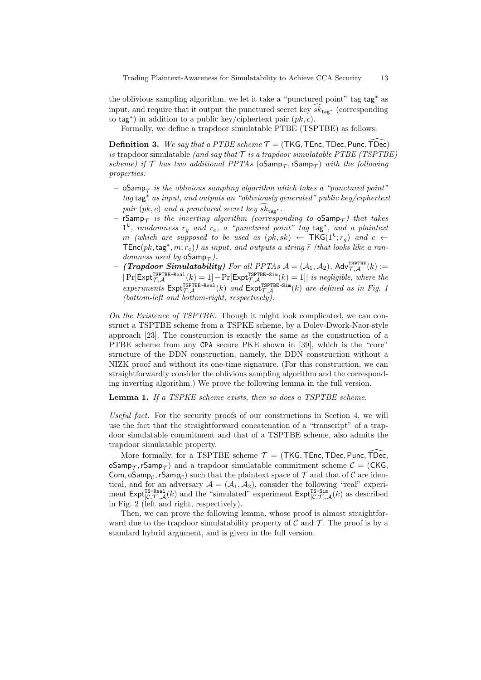the oblivious sampling algorithm, we let it take a "punctured point" tag tag*<sup>∗</sup>* as input, and require that it output the punctured secret key  $sk_{\text{tag}*}$  (corresponding to tag*<sup>∗</sup>* ) in addition to a public key/ciphertext pair (*pk, c*).

Formally, we define a trapdoor simulatable PTBE (TSPTBE) as follows:

**Definition 3.** We say that a PTBE scheme  $\mathcal{T} = (\text{TKG}, \text{TEnc}, \text{TDec}, \text{Punc}, \text{TDec})$ *is* trapdoor simulatable *(and say that*  $\mathcal T$  *is a trapdoor simulatable PTBE (TSPTBE)*  $scheme)$  *if*  $\mathcal T$  *has two additional PPTAs* ( $oSamp_{\mathcal T}$ ,  $rSamp_{\mathcal T}$ ) *with the following properties:*

- **–** oSamp*<sup>T</sup> is the oblivious sampling algorithm which takes a "punctured point" tag* tag*<sup>∗</sup> as input, and outputs an "obliviously generated" public key/ciphertext pair*  $(pk, c)$  *and a punctured secret key*  $sk_{\text{tag}*}$ .
- $\mathsf{rSamp}_\mathcal{T}$  *is the inverting algorithm (corresponding to*  $\mathsf{oSamp}_\mathcal{T})$  *that takes* 1 *k , randomness r<sup>g</sup> and re, a "punctured point" tag* tag*<sup>∗</sup> , and a plaintext m* (which are supposed to be used as  $(pk, sk) \leftarrow \text{TKG}(1^k; r_g)$  and  $c \leftarrow$  $\text{TEnc}(pk, \text{tag}^*, m; r_e)$  as input, and outputs a string  $\hat{r}$  (that looks like a ran-<br>
denotes used by  $\hat{r}$  form  $\hat{r}$ ) *domness used by*  $oSamp_{\mathcal{T}}$ *)*.
- $-$  *(Trapdoor Simulatability)* For all PPTAs  $\mathcal{A} = (\mathcal{A}_1, \mathcal{A}_2)$ , Adv $_{\mathcal{T}, \mathcal{A}}^{\text{TSPTBE}}(k) :=$  $|Pr[\text{Expt}_{\mathcal{T}, \mathcal{A}}^{\text{TSPTBE-Real}}(k) = 1] - Pr[\text{Expt}_{\mathcal{T}, \mathcal{A}}^{\text{TSPTBE-Sim}}(k) = 1]|$  *is negligible, where the*  $experiments$   $\text{Expt}_{\mathcal{T},\mathcal{A}}^{\text{TSPTBE-Real}}(k)$  *and*  $\text{Expt}_{\mathcal{T},\mathcal{A}}^{\text{TSPTBE-Sim}}(k)$  *are defined as in Fig. 1 (bottom-left and bottom-right, respectively).*

*On the Existence of TSPTBE.* Though it might look complicated, we can construct a TSPTBE scheme from a TSPKE scheme, by a Dolev-Dwork-Naor-style approach [23]. The construction is exactly the same as the construction of a PTBE scheme from any CPA secure PKE shown in [39], which is the "core" structure of the DDN construction, namely, the DDN construction without a NIZK proof and without its one-time signature. (For this construction, we can straightforwardly consider the oblivious sampling algorithm and the corresponding inverting algorithm.) We prove the following lemma in the full version.

#### **Lemma 1.** *If a TSPKE scheme exists, then so does a TSPTBE scheme.*

*Useful fact.* For the security proofs of our constructions in Section 4, we will use the fact that the straightforward concatenation of a "transcript" of a trapdoor simulatable commitment and that of a TSPTBE scheme, also admits the trapdoor simulatable property.

More formally, for a TSPTBE scheme  $\mathcal{T} = (\text{TKG}, \text{TEnc}, \text{TDec}, \text{Punc}, \text{TDec}, \text{LDec})$  $\mathsf{pSamp}_\mathcal{T},\mathsf{rSamp}_\mathcal{T})$  and a trapdoor simulatable commitment scheme  $\mathcal{C} = (\mathsf{CKG},\mathcal{C})$  $\mathsf{Com}, \mathsf{oSamp}_\mathcal{C}, \mathsf{rSamp}_\mathcal{C}) \text{ such that the plaintext space of } \mathcal{T} \text{ and that of } \mathcal{C} \text{ are iden-}$ tical, and for an adversary  $A = (A_1, A_2)$ , consider the following "real" experiment  $\text{Expt}_{[C,T],\mathcal{A}}^{\text{TS-Real}}(k)$  and the "simulated" experiment  $\text{Expt}_{[C,T],\mathcal{A}}^{\text{TS-Sim}}(k)$  as described in Fig. 2 (left and right, respectively).

Then, we can prove the following lemma, whose proof is almost straightforward due to the trapdoor simulatability property of  $\mathcal C$  and  $\mathcal T$ . The proof is by a standard hybrid argument, and is given in the full version.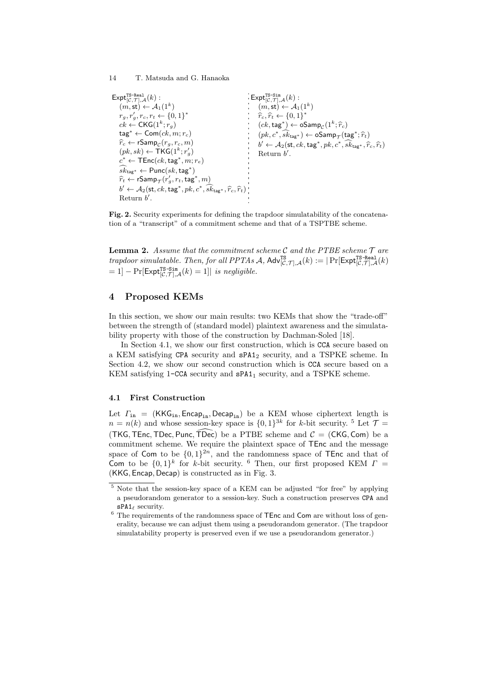```
\mathsf{Expt}_{[\mathcal{C},\mathcal{T}],\mathcal{A}}^{\texttt{TS-Real}}(k):(m, \mathsf{st}) \leftarrow \mathcal{A}_1(1^k)r_g, r'_g, r_c, r_t \leftarrow \{0, 1\}^*ck \leftarrow \mathsf{CKG}(1^k; r_g)tag∗ ← Com(ck, m; rc)
     \widehat{r}_c \leftarrow \textsf{rSamp}_\mathcal{C}(r_g, r_c, m)(pk, sk) \leftarrow \mathsf{TKG}(1^k; r'_g)c^* \leftarrow \mathsf{TEnc}(ck, \mathsf{tag}^*, m; r_e)sk_{\textsf{tag}}* \leftarrow \textsf{Punc}(sk,\textsf{tag}^*)\widehat{r}_t \leftarrow \textsf{rSamp}_{\mathcal{T}}(r_g', r_t, \textsf{tag}^*, m)b' \leftarrow A_2(\mathsf{st}, ck, \mathsf{tag}^*, pk, c^*, sk_{\mathsf{tag}^*}, \widehat{r}_c, \widehat{r}_t)Return b
′
.
                                                                                                           \mathsf{Expt}_{[\mathcal{C},\mathcal{T}],\mathcal{A}}^{\texttt{TS-Sim}}(k):(m, \mathsf{st}) \leftarrow \mathcal{A}_1(1^k)\hat{r}_c, \hat{r}_t \leftarrow \{0, 1\}^*(ck, tag^*) ← oSamp<sub>C</sub>(1^k; \hat{r}_c)(pk, c^*, sk_{\text{tag}*}) \leftarrow \text{oSamp}_{\mathcal{T}}(\text{tag}^*; \hat{r}_t)b' \leftarrow A_2(\textsf{st}, ck, \textsf{tag}^*, pk, c^*, sk_{\textsf{tag}^*}, \hat{r}_c, \hat{r}_t)Return b
′
.
```
**Fig. 2.** Security experiments for defining the trapdoor simulatability of the concatenation of a "transcript" of a commitment scheme and that of a TSPTBE scheme.

**Lemma 2.** *Assume that the commitment scheme C and the PTBE scheme T are*  $t$ rapdoor simulatable. Then, for all  $PPTAs$   $\mathcal{A}$ ,  $\mathsf{Adv}_{[\mathcal{C},\mathcal{T}],\mathcal{A}}^{TS}(k) := |\Pr[\mathsf{Expt}_{[\mathcal{C},\mathcal{T}],\mathcal{A}}^{TS\text{-}{\sf Real}}(k)]$  $= 1$ ]  $- \Pr[\mathsf{Expt}_{[\mathcal{C},\mathcal{T}],\mathcal{A}}^{\text{TS-Sim}}(k) = 1]$ *| is negligible.* 

## **4 Proposed KEMs**

In this section, we show our main results: two KEMs that show the "trade-off" between the strength of (standard model) plaintext awareness and the simulatability property with those of the construction by Dachman-Soled [18].

In Section 4.1, we show our first construction, which is CCA secure based on a KEM satisfying CPA security and  $sPA1<sub>2</sub>$  security, and a TSPKE scheme. In Section 4.2, we show our second construction which is CCA secure based on a KEM satisfying 1-CCA security and  $sPA1<sub>1</sub>$  security, and a TSPKE scheme.

#### **4.1 First Construction**

Let  $\Gamma_{\text{in}} = (KKG_{\text{in}}, \text{Encap}_{\text{in}}, \text{Decap}_{\text{in}})$  be a KEM whose ciphertext length is  $n = n(k)$  and whose session-key space is  $\{0,1\}^{3k}$  for *k*-bit security. <sup>5</sup> Let  $\mathcal{T} =$ (TKG, TEnc, TDec, Punc, TDec) be a PTBE scheme and  $C = (CKG, Com)$  be a commitment scheme. We require the plaintext space of TEnc and the message space of Com to be  $\{0,1\}^{2n}$ , and the randomness space of TEnc and that of Com to be  $\{0,1\}^k$  for *k*-bit security. <sup>6</sup> Then, our first proposed KEM  $\Gamma$  = (KKG*,* Encap*,* Decap) is constructed as in Fig. 3.

<sup>5</sup> Note that the session-key space of a KEM can be adjusted "for free" by applying a pseudorandom generator to a session-key. Such a construction preserves CPA and sPA1*<sup>ℓ</sup>* security.

 $^6$  The requirements of the randomness space of  $\tt TEnc$  and  $\tt Com$  are without loss of generality, because we can adjust them using a pseudorandom generator. (The trapdoor simulatability property is preserved even if we use a pseudorandom generator.)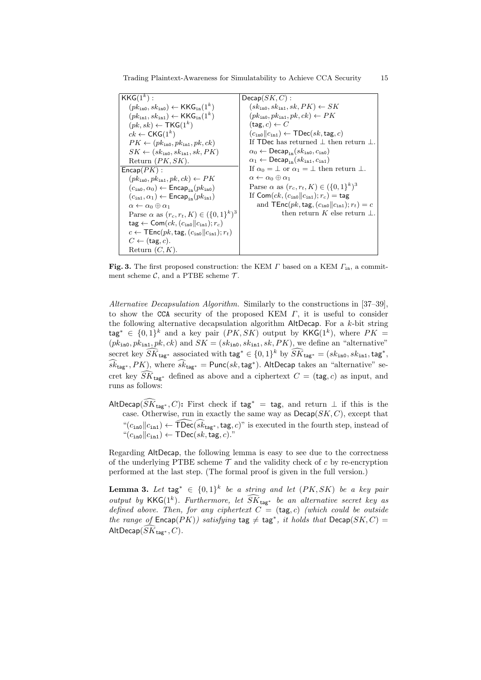Trading Plaintext-Awareness for Simulatability to Achieve CCA Security 15

| $KKG(1^k)$ :                                                                                | $Decap(SK, C)$ :                                                                       |
|---------------------------------------------------------------------------------------------|----------------------------------------------------------------------------------------|
| $(pk_{\text{in0}}, sk_{\text{in0}}) \leftarrow \text{KKG}_{\text{in}}(1^k)$                 | $(sk_{\text{in}0}, sk_{\text{in}1}, sk, PK) \leftarrow SK$                             |
| $(pk_{\text{in1}}, sk_{\text{in1}}) \leftarrow \mathsf{KKG}_{\text{in}}(1^k)$               | $(pk_{\text{in0}}, pk_{\text{in1}}, pk, ck) \leftarrow PK$                             |
| $(pk, sk) \leftarrow \text{TKG}(1^k)$                                                       | $(\texttt{tag}, c) \leftarrow C$                                                       |
| $ck \leftarrow CKG(1^k)$                                                                    | $(c_{\text{in}}  c_{\text{in}}) \leftarrow \text{TDec}(sk, \text{tag}, c)$             |
| $PK \leftarrow (pk_{\text{in0}}, pk_{\text{in1}}, pk, ck)$                                  | If TDec has returned $\perp$ then return $\perp$ .                                     |
| $SK \leftarrow (sk_{\text{in0}}, sk_{\text{in1}}, sk, PK)$                                  | $\alpha_0 \leftarrow \mathsf{Decap}_{in}(sk_{in0}, c_{in0})$                           |
| Return $(PK, SK)$ .                                                                         | $\alpha_1 \leftarrow \mathsf{Decap}_{in}(sk_{in1}, c_{in1})$                           |
| $\mathsf{Encap}(PK)$ :                                                                      | If $\alpha_0 = \perp$ or $\alpha_1 = \perp$ then return $\perp$ .                      |
| $(pk_{\text{in0}}, pk_{\text{in1}}, pk, ck) \leftarrow PK$                                  | $\alpha \leftarrow \alpha_0 \oplus \alpha_1$                                           |
| $(cin0, \alpha_0) \leftarrow$ Encap <sub>in</sub> $(pkin0)$                                 | Parse $\alpha$ as $(r_c, r_t, K) \in (\{0, 1\}^{\kappa})^3$                            |
| $(c_{\text{in1}}, \alpha_1) \leftarrow \text{Encap}_{\text{in}}(pk_{\text{in1}})$           | If Com( $ck$ , $(cin0  cin1)$ ; $r_c$ ) = tag                                          |
| $\alpha \leftarrow \alpha_0 \oplus \alpha_1$                                                | and $\mathsf{TEnc}(pk, \mathsf{tag}, (c_{\mathsf{in0}}    c_{\mathsf{in1}}); r_t) = c$ |
| Parse $\alpha$ as $(r_c, r_t, K) \in (\{0, 1\}^k)^3$                                        | then return K else return $\perp$ .                                                    |
| $\text{tag} \leftarrow \textsf{Com}(ck, (c_{\text{in0}}    c_{\text{in1}}); r_c)$           |                                                                                        |
| $c \leftarrow \mathsf{TEnc}(pk, \mathsf{tag}, (c_{\mathsf{in0}}    c_{\mathsf{in1}}); r_t)$ |                                                                                        |
| $C \leftarrow$ (tag, c).                                                                    |                                                                                        |
| Return $(C, K)$ .                                                                           |                                                                                        |

**Fig. 3.** The first proposed construction: the KEM *Γ* based on a KEM *Γ*in, a commitment scheme  $C$ , and a PTBE scheme  $T$ .

*Alternative Decapsulation Algorithm.* Similarly to the constructions in [37–39], to show the CCA security of the proposed KEM *Γ*, it is useful to consider the following alternative decapsulation algorithm AltDecap. For a *k*-bit string tag<sup>∗</sup> ∈ {0,1}<sup>k</sup> and a key pair  $(PK, SK)$  output by KKG(1<sup>k</sup>), where  $PK =$  $(pk_{\text{in0}}, pk_{\text{in1}}, pk, ck)$  and  $SK = (sk_{\text{in0}}, sk_{\text{in1}}, sk, PK)$ , we define an "alternative"  $\sec$  becret key  $\widetilde{SK}_{\text{tag}*} *$  associated with  $\text{tag**} \in \{0,1\}^k$  by  $\widetilde{SK}_{\text{tag}*} = (sk_{\text{in0}}, sk_{\text{in1}}, \text{tag}*)$  $(s\hat{k}_{\text{tag}}^*, PK)$ , where  $s\hat{k}_{\text{tag}}^* = \text{Punc}(sk,\text{tag}^*)$ . AltDecap takes an "alternative" secret key  $\widehat{SK}_{\texttt{tag}*}$  defined as above and a ciphertext  $C = (\texttt{tag}, c)$  as input, and runs as follows:

AltDecap( $\widehat{SK}_{\mathsf{tag}^*}, C$ ): First check if tag<sup>\*</sup> = tag, and return  $\perp$  if this is the case. Otherwise, run in exactly the same way as  $Decap(SK, C)$ , except that " $(c<sub>in0</sub>||c<sub>in1</sub>)$  ←  $\widehat{\text{TDec}}(\widehat{sk}_{\text{tag}*}, \text{tag}, c)$ " is executed in the fourth step, instead of  $C_{\text{in0}}||c_{\text{in1}}) \leftarrow \text{TDec}(sk, \text{tag}, c)$ ."

Regarding AltDecap, the following lemma is easy to see due to the correctness of the underlying PTBE scheme  $\mathcal T$  and the validity check of  $c$  by re-encryption performed at the last step. (The formal proof is given in the full version.)

**Lemma 3.** Let  $\text{tag} * \in \{0,1\}^k$  be a string and let  $(PK, SK)$  be a key pair *output by* KKG( $1^k$ ). Furthermore, let  $\widetilde{SK}_{\text{tag**}}$  be an alternative secret key as *defined above. Then, for any ciphertext*  $C = (tag, c)$  *(which could be outside the range of*  $\mathsf{Encap}(PK)$ *) satisfying*  $\mathsf{tag} \neq \mathsf{tag}^*, it holds that  $\mathsf{Decap}(SK, C)$  =$  $\mathsf{AltDecap}(\widehat{SK}_{\mathsf{tag}^*}, C)$ *.*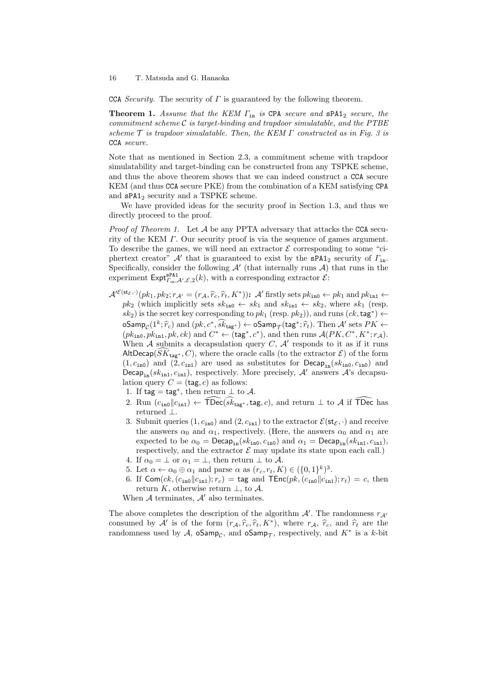CCA *Security.* The security of *Γ* is guaranteed by the following theorem.

**Theorem 1.** *Assume that the KEM Γ*in *is* CPA *secure and* sPA1<sup>2</sup> *secure, the commitment scheme C is target-binding and trapdoor simulatable, and the PTBE scheme T is trapdoor simulatable. Then, the KEM Γ constructed as in Fig. 3 is* CCA *secure.*

Note that as mentioned in Section 2.3, a commitment scheme with trapdoor simulatability and target-binding can be constructed from any TSPKE scheme, and thus the above theorem shows that we can indeed construct a CCA secure KEM (and thus CCA secure PKE) from the combination of a KEM satisfying CPA and  $sPA1<sub>2</sub>$  security and a TSPKE scheme.

We have provided ideas for the security proof in Section 1.3, and thus we directly proceed to the proof.

*Proof of Theorem 1.* Let *A* be any PPTA adversary that attacks the CCA security of the KEM *Γ*. Our security proof is via the sequence of games argument. To describe the games, we will need an extractor  $\mathcal E$  corresponding to some "ciphertext creator" *A′* that is guaranteed to exist by the sPA1<sup>2</sup> security of *Γ*in. Specifically, consider the following  $\mathcal{A}'$  (that internally runs  $\mathcal{A}$ ) that runs in the experiment  $\textsf{Expt}_{\Gamma_{\text{in}}\mathcal{A}'\mathcal{E},2}^{SPA1}(k)$ , with a corresponding extractor  $\mathcal{E}$ :

- $\mathcal{A}'^{\mathcal{E}(st_{\mathcal{E}},\cdot)}(pk_1, pk_2; r_{\mathcal{A}'} = (r_{\mathcal{A}}, \hat{r}_c, \hat{r}_t, K^*))$ :  $\mathcal{A}'$  firstly sets  $pk_{\text{in}} \leftarrow pk_1$  and  $pk_{\text{in}} \leftarrow$  $pk_2$  (which implicitly sets  $sk_{\text{in0}} \leftarrow sk_1$  and  $sk_{\text{in1}} \leftarrow sk_2$ , where  $sk_1$  (resp.  $g(k_2)$  is the secret key corresponding to  $pk_1$  (resp.  $pk_2$ )), and runs  $(ck, tag^*) \leftarrow$  $\sum_{k=1}^{\infty}$   $\binom{n}{k}$ ;  $\hat{r}_k$ ) and  $\binom{n}{k}$ ,  $\binom{n}{k}$   $\binom{n}{k}$   $\binom{n}{k}$   $\binom{n}{k}$   $\binom{n}{k}$   $\binom{n}{k}$   $\binom{n}{k}$   $\binom{n}{k}$   $\binom{n}{k}$   $\binom{n}{k}$   $\binom{n}{k}$   $\binom{n}{k}$   $\binom{n}{k}$   $\binom{n}{k}$   $\binom{n}{k}$   $\binom{n}{k}$   $\binom{n}{k}$  $(pk_{\text{in0}}, pk_{\text{in1}}, pk, ck)$  and  $C^* \leftarrow (\text{tag}^*, c^*),$  and then runs  $\mathcal{A}(PK, C^*, K^*; r_{\mathcal{A}})$ . When  $A$  submits a decapsulation query  $C$ ,  $A'$  responds to it as if it runs AltDecap( $SK_{\text{tag}*}, C$ ), where the oracle calls (to the extractor  $\mathcal{E}$ ) of the form  $(1, c_{\text{in0}})$  and  $(2, c_{\text{in1}})$  are used as substitutes for Decap<sub>in</sub> $(k_{\text{in0}}, c_{\text{in0}})$  and Decap<sub>in</sub>( $sk_{\text{in1}}$ ,  $c_{\text{in1}}$ ), respectively. More precisely,  $A'$  answers  $A$ 's decapsulation query  $C = (tag, c)$  as follows:
	- 1. If  $tag = tag^*$ , then return  $\perp$  to  $\mathcal{A}$ .
	- 2. Run  $(c_{\text{in0}}||c_{\text{in1}})$  ←  $\widehat{\text{TDec}}(\widehat{sk}_{\text{to}e^*},\text{tag},c)$ , and return  $\perp$  to *A* if  $\widehat{\text{TDec}}$  has returned *⊥*.
	- 3. Submit queries  $(1, c_{\text{in}})$  and  $(2, c_{\text{in}})$  to the extractor  $\mathcal{E}(\mathsf{st}_{\mathcal{E}}, \cdot)$  and receive the answers  $\alpha_0$  and  $\alpha_1$ , respectively. (Here, the answers  $\alpha_0$  and  $\alpha_1$  are expected to be  $\alpha_0 = \text{Decap}_{in}(sk_{in0}, c_{in0})$  and  $\alpha_1 = \text{Decap}_{in}(sk_{in1}, c_{in1}),$ respectively, and the extractor  $\mathcal E$  may update its state upon each call.)
	- 4. If  $\alpha_0 = \perp$  or  $\alpha_1 = \perp$ , then return  $\perp$  to A.
	- 5. Let  $\alpha \leftarrow \alpha_0 \oplus \alpha_1$  and parse  $\alpha$  as  $(r_c, r_t, K) \in (\{0, 1\}^k)^3$ .
	- 6. If  $\textsf{Com}(ck,(c_{\texttt{in0}}||c_{\texttt{in1}}); r_c) = \textsf{tag} \text{ and } \textsf{TEnc}(pk,(c_{\texttt{in0}}||c_{\texttt{in1}}); r_t) = c$ , then return *K*, otherwise return *⊥*, to *A*.

When *A* terminates, *A′* also terminates.

The above completes the description of the algorithm  $A'$ . The randomness  $r_{A'}$ consumed by  $\mathcal{A}'$  is of the form  $(r_{\mathcal{A}}, \hat{r}_c, \hat{r}_t, K^*)$ , where  $r_{\mathcal{A}}, \hat{r}_c$ , and  $\hat{r}_t$  are the randomness used by  $\mathcal{A}$ , oSamp<sub>C</sub>, and oSamp<sub>T</sub>, respectively, and  $K^*$  is a *k*-bit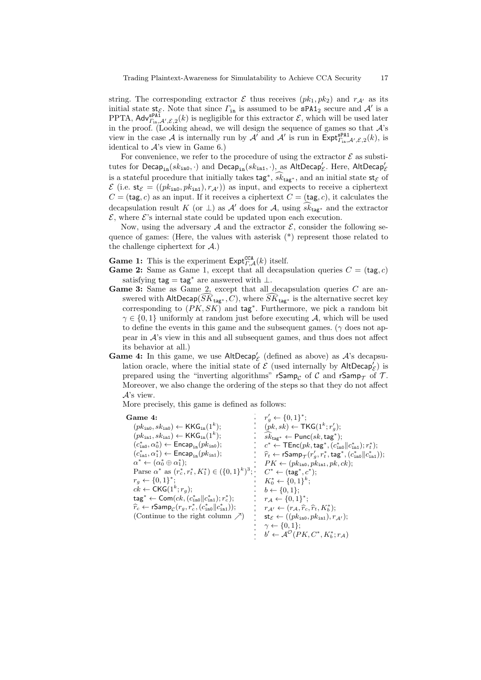string. The corresponding extractor  $\mathcal E$  thus receives  $(pk_1, pk_2)$  and  $r_{\mathcal A'}$  as its initial state  $st_{\mathcal{E}}$ . Note that since  $\Gamma_{\text{in}}$  is assumed to be  $sPA1_2$  secure and  $\mathcal{A}'$  is a PPTA,  $\mathsf{Adv}_{\Gamma_{\text{in}}^{\text{SPA1}},\mathcal{L}',\mathcal{E},2}(k)$  is negligible for this extractor  $\mathcal{E}$ , which will be used later in the proof. (Looking ahead, we will design the sequence of games so that *A*'s view in the case *A* is internally run by *A'* and *A'* is run in  $\textsf{Expt}_{\Gamma_{\text{in}}^{\textsf{zPA1}},\mathcal{E},2}(k)$ , is identical to *A*'s view in Game 6.)

For convenience, we refer to the procedure of using the extractor  $\mathcal E$  as substi- $\textrm{tutes for Decap}_{\texttt{in}}(sk_{\texttt{in0}},\cdot)$  and  $\textrm{Decap}_{\texttt{in}}(sk_{\texttt{in1}},\cdot),$  as  $\mathsf{AltDecap}'_\mathcal{E}.$  Here,  $\mathsf{AltDecap}'_\mathcal{E}$ is a stateful procedure that initially takes  $\text{tag}^*, s\vec{k}_{\text{tag}^*}$ , and an initial state  $\text{st}_{\mathcal{E}}$  of  $\mathcal{E}$  (i.e.  $\mathsf{st}_{\mathcal{E}} = ((pk_{\mathsf{in0}}, pk_{\mathsf{in1}}), r_{\mathcal{A}'}))$  as input, and expects to receive a ciphertext  $C = (tag, c)$  as an input. If it receives a ciphertext  $C = (tag, c)$ , it calculates the decapsulation result *K* (or  $\perp$ ) as *A'* does for *A*, using  $sk_{\text{taq}*}$  and the extractor  $\mathcal{E}$ , where  $\mathcal{E}'$ 's internal state could be updated upon each execution.

Now, using the adversary  $A$  and the extractor  $\mathcal{E}$ , consider the following sequence of games: (Here, the values with asterisk (\*) represent those related to the challenge ciphertext for *A*.)

**Game 1:** This is the experiment  $\textsf{Expt}_{r,\mathcal{A}}^{\textsf{CCA}}(k)$  itself.

- **Game 2:** Same as Game 1, except that all decapsulation queries  $C = (tag, c)$ satisfying tag = tag*<sup>∗</sup>* are answered with *⊥*.
- Game 3: Same as Game 2, except that all decapsulation queries C are answered with AltDecap( $\widehat{SK}_{\text{tag}*}, C$ ), where  $\widehat{SK}_{\text{tag}*}$  is the alternative secret key corresponding to (*PK, SK*) and tag*<sup>∗</sup>* . Furthermore, we pick a random bit *γ ∈ {*0*,* 1*}* uniformly at random just before executing *A*, which will be used to define the events in this game and the subsequent games. (*γ* does not appear in *A*'s view in this and all subsequent games, and thus does not affect its behavior at all.)
- Game 4: In this game, we use AltDecap<sup>'</sup><sub>C</sub> (defined as above) as  $A$ 's decapsulation oracle, where the initial state of  $\mathcal E$  (used internally by  $\mathsf{AltDecap}'_\mathcal E)$  is prepared using the "inverting algorithms" rSamp<sub>*C*</sub> of C and rSamp<sub> $\tau$ </sub> of T. Moreover, we also change the ordering of the steps so that they do not affect *A*'s view.

More precisely, this game is defined as follows:

#### **Game 4:**

 $(pk<sub>ino</sub>, sk<sub>ino</sub>) \leftarrow \mathsf{KKG}_{in}(1^k);$  $(pk_{\text{in1}}, sk_{\text{in1}}) \leftarrow \text{KKG}_{\text{in}}(1^k);$  $(c_{\text{ino}}^*, \alpha_0^*) \leftarrow \mathsf{Encap}_{\text{in}}(pk_{\text{ino}});$  $(c_{\text{in1}}^*, \alpha_1^*) \leftarrow \text{Encap}_{\text{in}}(pk_{\text{in1}});$  $\alpha^* \leftarrow (\alpha_0^* \oplus \alpha_1^*);$  $P \text{arse } \alpha^* \text{ as } (r_c^*, r_t^*, K_1^*) \in (\{0, 1\}^k)^3; \quad C^* \leftarrow (\text{tag}^*, c^*);$  $r_g \leftarrow \{0, 1\}^*$ ;  $ck \leftarrow \mathsf{CKG}(1^k; r_g);$  $\mathsf{tag} \mathsf{r} \gets \mathsf{Com}(ck, (c_\mathsf{in0}^* \| c_\mathsf{in1}^*); r_c^*);$  $\widehat{r}_c \leftarrow \textsf{rSamp}_\mathcal{C}(r_g, r_c^*, (c_{\texttt{in0}}^* \| c_{\texttt{in1}}^*));$ (Continue to the right column *↗*)  $r'_g \leftarrow \{0, 1\}^*$ ;  $(pk, sk) \leftarrow \mathsf{TKG}(1^k; r'_g);$  $sk_{\text{tag}}* \leftarrow \textsf{Punc}(sk,\textsf{tag}*)$ ;  $c^*$  ← TEnc $(pk, \text{tag}^*, (c^*_{\text{in0}} || c^*_{\text{in1}}); r^*_{t});$  $\hat{r}_t \leftarrow \textsf{rSamp}_{\mathcal{T}}(r'_g, r_t^*, \textsf{tag}^*, (c_{\text{in0}}^* || c_{\text{in1}}^*));$  $PK \leftarrow (pk_{\text{ino}}, pk_{\text{in1}}, pk, ck);$  $K_0^* \leftarrow \{0, 1\}^k;$  $b \leftarrow \{0, 1\};$  $r_A \leftarrow \{0, 1\}^*$ ;  $r_{\mathcal{A}'} \leftarrow (r_{\mathcal{A}}, \widehat{r}_c, \widehat{r}_t, K_b^*)$ ;  $\mathsf{st}_\mathcal{E} \leftarrow ((pk_{\mathtt{in0}}, pk_{\mathtt{in1}}), r_{\mathcal{A}'});$ *γ ← {*0*,* 1*}*;  $b' \leftarrow A^{\mathcal{O}}(PK, C^*, K_b^*; r_{\mathcal{A}})$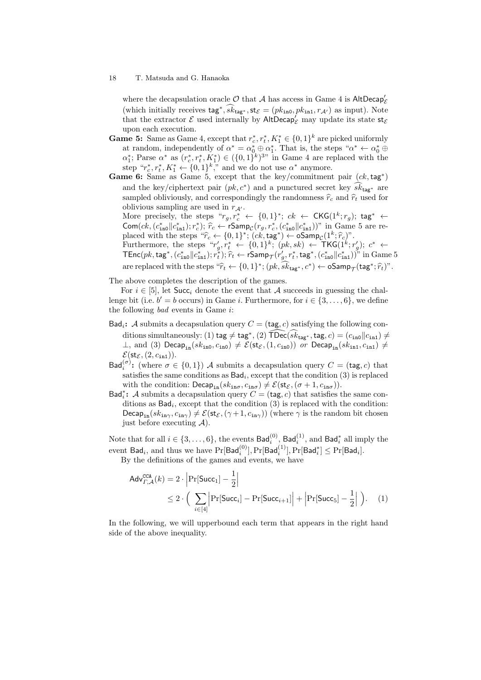where the decapsulation oracle  $\mathcal O$  that  $\mathcal A$  has access in Game 4 is  $\mathsf{AltDecap}_\mathcal E'$ (which initially receives  $\text{tag}^*, s k_{\text{tag}^*}, \text{st}_{\varepsilon} = (p k_{\text{in0}}, p k_{\text{in1}}, r_{\mathcal{A}'})$  as input). Note that the extractor  $\mathcal E$  used internally by  $\mathsf{AltDecap}'_{\mathcal E}$  may update its state  $\mathsf{st}_{\mathcal E}$ upon each execution.

- **Game 5:** Same as Game 4, except that  $r_c^*, r_t^*, K_1^* \in \{0, 1\}^k$  are picked uniformly at random, independently of  $\alpha^* = \alpha_0^* \oplus \alpha_1^*$ . That is, the steps " $\alpha^* \leftarrow \alpha_0^* \oplus \alpha_1^*$  $\alpha^*$ ; Parse  $\alpha^*$  as  $(r_c^*, r_t^*, K_1^*) \in (\{0, 1\}^k)^{3}$  in Game 4 are replaced with the step " $r_c^*, r_t^*, K_1^* \leftarrow \{0, 1\}^k$ ," and we do not use  $\alpha^*$  anymore.
- **Game 6:** Same as Game 5, except that the key/commitment pair  $(ck, tag^*)$ and the key/ciphertext pair  $(pk, c^*)$  and a punctured secret key  $sk_{\text{tag}*}$  are sampled obliviously, and correspondingly the randomness  $\hat{r}_c$  and  $\hat{r}_t$  used for oblivious sampling are used in  $r_{A'}$ .

More precisely, the steps " $r_g, r_c^* \leftarrow \{0, 1\}^*$ ;  $ck \leftarrow \mathsf{CKG}(1^k; r_g)$ ; tag\*  $\leftarrow$  $\mathsf{Com}(ck, (c_{\mathtt{in0}}^*(|c_{\mathtt{in1}}^*); r_c^*); \hat{r}_c \leftarrow \mathsf{rSamp}_c(r_g, r_c^*, (c_{\mathtt{in0}}^*||c_{\mathtt{in1}}^*))$ " in Game 5 are replaced with the steps  $\hat{r}_c \leftarrow \{0,1\}^*$ ;  $(ck, \text{tag}^*) \leftarrow \text{oSamp}_C(1^k; \hat{r}_c)$ ".<br>Furthermore, the steps  $\hat{r}_g', r_t^* \leftarrow \{0,1\}^k$ ;  $(pk, sk) \leftarrow \text{TKG}(1^k; r_g'); c^* \leftarrow$ 

 $\mathsf{TEnc}(pk,\mathsf{tag}^*, (c^*_{\mathtt{in0}} \| c^*_{\mathtt{in1}}); r^*_{t}); \widehat{r}_t \leftarrow \mathsf{rSamp}_\mathcal{T}(r'_g, r^*_t, \mathsf{tag}^*, (c^*_{\mathtt{in0}} \| c^*_{\mathtt{in1}}))^n$  in  $\mathrm{Game}\, 5$ are replaced with the steps  $\hat{r}_t \leftarrow \{0, 1\}^*; (pk, \hat{sk}_{\text{tag}^*}, c^*) \leftarrow \text{oSamp}_{\mathcal{T}}(\text{tag}^*; \hat{r}_t)^n$ .

The above completes the description of the games.

For  $i \in [5]$ , let Succ<sub>i</sub> denote the event that *A* succeeds in guessing the challenge bit (i.e.  $b' = b$  occurs) in Game *i*. Furthermore, for  $i \in \{3, \ldots, 6\}$ , we define the following *bad* events in Game *i*:

- $Bad_i$ : *A* submits a decapsulation query  $C = (tag, c)$  satisfying the following conditions simultaneously: (1) tag  $\neq$  tag<sup>\*</sup>, (2)  $\widehat{\text{TDec}}(\widehat{sk}_{\text{tag}^*},\text{tag},c) = (c_{\text{in0}} || c_{\text{in1}}) \neq$  $⊥$ , and (3) Decap<sub>in</sub>( $sk_{\text{in0}}$ ,  $c_{\text{in0}}$ )  $\neq$  *E*( $st_{\mathcal{E}}$ , (1,  $c_{\text{in0}}$ )) *or* Decap<sub>in</sub>( $sk_{\text{in1}}$ ,  $c_{\text{in1}}$ )  $\neq$  $\mathcal{E}(\mathsf{st}_{\mathcal{E}},(2,c_{\mathtt{in1}})).$
- Bad<sup> $(\sigma)$ </sup>: (where  $\sigma \in \{0,1\}$ ) *A* submits a decapsulation query  $C = (tag, c)$  that satisfies the same conditions as Bad*<sup>i</sup>* , except that the condition (3) is replaced with the condition:  $\text{Decap}_{\text{in}}(sk_{\text{in}\sigma}, c_{\text{in}\sigma}) \neq \mathcal{E}(\text{st}_{\mathcal{E}}, (\sigma+1, c_{\text{in}\sigma}))$ .
- Bad<sup>\*</sup><sub>i</sub>: *A* submits a decapsulation query  $C = (tag, c)$  that satisfies the same conditions as Bad*<sup>i</sup>* , except that the condition (3) is replaced with the condition: Decap<sub>in</sub>( $sk_{\text{in}\gamma}$ ,  $c_{\text{in}\gamma}$ )  $\neq$   $\mathcal{E}(\text{st}_{\mathcal{E}}, (\gamma + 1, c_{\text{in}\gamma}))$  (where  $\gamma$  is the random bit chosen just before executing *A*).

Note that for all  $i \in \{3, \ldots, 6\}$ , the events  $\mathsf{Bad}^{(0)}_i$ ,  $\mathsf{Bad}^{(1)}_i$ , and  $\mathsf{Bad}^*_i$  all imply the  $\text{event Bad}_i, \text{ and thus we have } \Pr[\text{Bad}_i^{(0)}], \Pr[\text{Bad}_i^{(1)}], \Pr[\text{Bad}_i^*] \leq \Pr[\text{Bad}_i].$ 

By the definitions of the games and events, we have

$$
Adv_{\varGamma,A}^{CCA}(k) = 2 \cdot \left| \Pr[\text{Succ}_1] - \frac{1}{2} \right|
$$
  
 
$$
\leq 2 \cdot \left( \sum_{i \in [4]} \left| \Pr[\text{Succ}_i] - \Pr[\text{Succ}_{i+1}] \right| + \left| \Pr[\text{Succ}_5] - \frac{1}{2} \right| \right). \quad (1)
$$

In the following, we will upperbound each term that appears in the right hand side of the above inequality.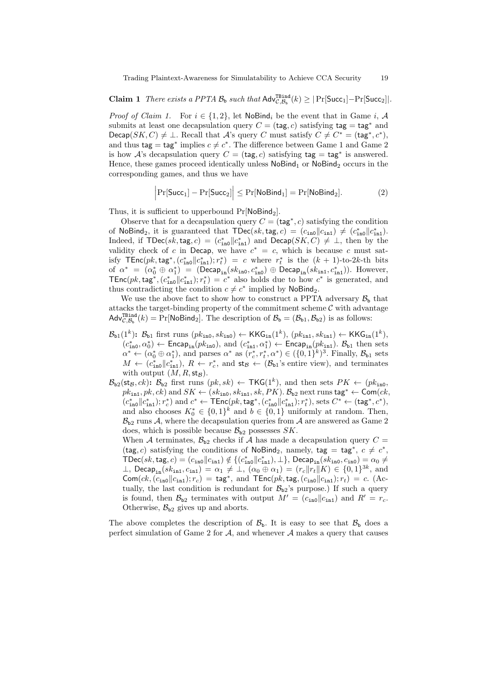**Claim 1** *There exists a PPTA*  $\mathcal{B}_b$  *such that*  $\mathsf{Adv}_{\mathcal{C},\mathcal{B}_b}^{\mathsf{TBind}}(k) \geq |\Pr[\mathsf{Succ}_1]-\Pr[\mathsf{Succ}_2]|$ .

*Proof of Claim 1.* For  $i \in \{1, 2\}$ , let NoBind<sub>i</sub> be the event that in Game *i*, *A* submits at least one decapsulation query  $C = (tag, c)$  satisfying  $tag = tag^*$  and Decap(*SK*, *C*)  $\neq$   $\bot$ . Recall that *A*'s query *C* must satisfy  $C \neq C^* = (\text{tag}^*, c^*)$ , and thus  $\text{tag} = \text{tag}^*$  implies  $c \neq c^*$ . The difference between Game 1 and Game 2 is how  $\mathcal{A}$ 's decapsulation query  $C = (\text{tag}, c)$  satisfying  $\text{tag} = \text{tag}^*$  is answered. Hence, these games proceed identically unless  $\text{NoBind}_1$  or  $\text{NoBind}_2$  occurs in the corresponding games, and thus we have

$$
\Big|\Pr[\mathsf{Succ}_1]-\Pr[\mathsf{Succ}_2]\Big|\leq\Pr[\mathsf{NoBind}_1]=\Pr[\mathsf{NoBind}_2].\hspace{1cm}(2)
$$

Thus, it is sufficient to upperbound  $Pr[NoBind_2]$ .

Observe that for a decapsulation query  $C = (tag^*, c)$  satisfying the condition of NoBind<sub>2</sub>, it is guaranteed that  $\text{TDec}(sk, \text{tag}, c) = (c_{\text{in0}} || c_{\text{in1}}) \neq (c_{\text{in0}}^* || c_{\text{in1}}^*).$ Indeed, if  $\textsf{TDec}(sk, \textsf{tag}, c) = (c_{\textsf{in0}}^* || c_{\textsf{in1}}^*)$  and  $\textsf{Decap}(SK, C) \neq \bot$ , then by the validity check of *c* in Decap, we have  $c^* = c$ , which is because *c* must satisfy  $\textsf{TEnc}(pk, \textsf{tag}^*, (c_{\textsf{in0}}^* || c_{\textsf{in1}}^*); r_t^* ) = c$  where  $r_t^*$  is the  $(k + 1)$ -to-2*k*-th bits of  $\alpha^* = (\alpha_0^* \oplus \alpha_1^*) = (\text{Decap}_{in}(sk_{in0}, c_{in0}^*) \oplus \text{Decap}_{in}(sk_{in1}, c_{in1}^*)$ ). However,  $\mathsf{TEnc}(pk, \mathsf{tag}^*, (c_{\mathtt{in0}}^*||c_{\mathtt{in1}}^*); r_t^*) = c^*$  also holds due to how  $c^*$  is generated, and thus contradicting the condition  $c \neq c^*$  implied by NoBind<sub>2</sub>.

We use the above fact to show how to construct a PPTA adversary  $\mathcal{B}_{\rm b}$  that attacks the target-binding property of the commitment scheme  $C$  with advantage  $\mathsf{Adv}_{\mathcal{C},\mathcal{B}_{\mathsf{b}}}^{\mathsf{TBind}}(k) = \Pr[\mathsf{NoBind}_2]$ . The description of  $\mathcal{B}_{\mathsf{b}} = (\mathcal{B}_{\mathsf{b}1},\mathcal{B}_{\mathsf{b}2})$  is as follows:

- $\mathcal{B}_{\text{b}1}(1^k)$ :  $\mathcal{B}_{\text{b}1}$  first runs  $(\mathit{pk}_{\text{in}0}, \mathit{sk}_{\text{in}0}) \leftarrow \text{KKG}_{\text{in}}(1^k), (\mathit{pk}_{\text{in}1}, \mathit{sk}_{\text{in}1}) \leftarrow \text{KKG}_{\text{in}}(1^k),$  $(c_{\text{in0}}^*, \alpha_0^*) \leftarrow \text{Encap}_{\text{in}}(pk_{\text{in0}}), \text{ and } (c_{\text{in1}}^*, \alpha_1^*) \leftarrow \text{Encap}_{\text{in}}(pk_{\text{in1}}).$   $B_{b1}$  then sets  $\alpha^* \leftarrow (\alpha_0^* \oplus \alpha_1^*)$ , and parses  $\alpha^*$  as  $(r_c^*, r_t^*, \alpha^*) \in (\{0,1\}^k)^3$ . Finally,  $\mathcal{B}_{\text{b1}}$  sets  $M \leftarrow (c_{\text{in0}}^* || c_{\text{in1}}^*), R \leftarrow r_c^*$ , and  $\text{st}_{\mathcal{B}} \leftarrow (\mathcal{B}_{\text{b1}})$ 's entire view), and terminates with output  $(M, R, \mathsf{st}_\mathcal{B})$ .
- $\mathcal{B}_{b2}(\text{st}_{\mathcal{B}},ck)$ :  $\mathcal{B}_{b2}$  first runs  $(pk, sk) \leftarrow \text{TKG}(1^k)$ , and then sets  $PK \leftarrow (pk_{\text{ino}},$  $pk_{\text{in1}}$ ,  $pk, ck$ ) and  $SK \leftarrow (sk_{\text{in0}}$ ,  $sk_{\text{in1}}$ ,  $sk, PK)$ .  $B_{b2}$  next runs tag\*  $\leftarrow$  Com $(ck,$  $(c_{\mathtt{in0}}^*||c_{\mathtt{in1}}^*); r_c^*) \text{ and } c^* \leftarrow \mathsf{TEnc}(pk, \mathsf{tag}^*, (c_{\mathtt{in0}}^*||c_{\mathtt{in1}}^*); r_t^*), \text{sets } C^* \leftarrow (\mathsf{tag}^*, c^*),$ and also chooses  $K_0^* \in \{0,1\}^k$  and  $b \in \{0,1\}$  uniformly at random. Then,  $B_{b2}$  runs *A*, where the decapsulation queries from *A* are answered as Game 2 does, which is possible because  $\mathcal{B}_{b2}$  possesses *SK*.

When *A* terminates,  $\mathcal{B}_{b2}$  checks if *A* has made a decapsulation query  $C =$  $(\text{tag}, c)$  satisfying the conditions of NoBind<sub>2</sub>, namely,  $\text{tag} = \text{tag}^*, c \neq c^*$  $\textsf{TDec}(sk,\textsf{tag},c) = (c_{\textsf{in0}} \| c_{\textsf{in1}}) \notin \{(c_{\textsf{in0}}^* \| c_{\textsf{in1}}^*), \bot\}$ , Decap<sub>in</sub> $(sk_{\textsf{in0}}, c_{\textsf{in0}}) = \alpha_0 \neq 0$  $⊥$ , Decap<sub>in</sub>(sk<sub>in1</sub>, c<sub>in1</sub>) =  $\alpha_1 \neq \bot$ , ( $\alpha_0 \oplus \alpha_1$ ) = ( $r_c$ *||rt*||*K*) ∈ {0,1}<sup>3*k*</sup>, and  $\textsf{Com}(ck,(c_{\texttt{in0}}||c_{\texttt{in1}}); r_c) = \textsf{tag}^*, \text{ and } \textsf{TEnc}(pk,\textsf{tag},(c_{\texttt{in0}}||c_{\texttt{in1}}); r_t) = c.$  (Actually, the last condition is redundant for  $B_{b2}$ 's purpose.) If such a query is found, then  $\mathcal{B}_{b2}$  terminates with output  $M' = (c_{in0} || c_{in1})$  and  $R' = r_c$ . Otherwise,  $\mathcal{B}_{b2}$  gives up and aborts.

The above completes the description of  $\mathcal{B}_{b}$ . It is easy to see that  $\mathcal{B}_{b}$  does a perfect simulation of Game 2 for *A*, and whenever *A* makes a query that causes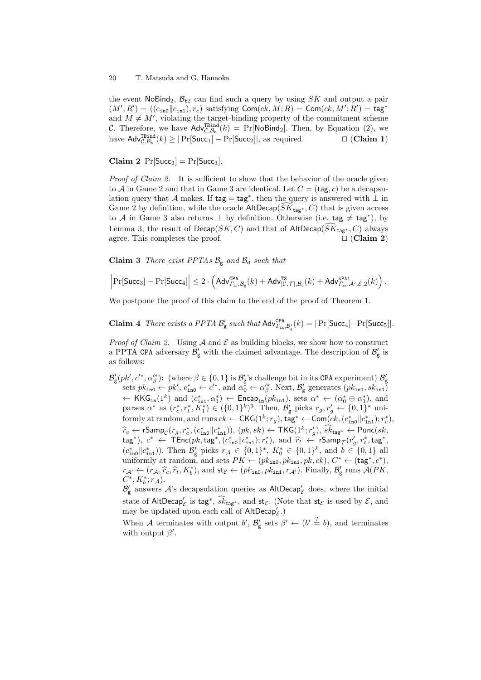the event  $N \circ \text{Bind}_2$ ,  $\mathcal{B}_{\text{b2}}$  can find such a query by using *SK* and output a pair  $(M', R') = ((c_{\texttt{in0}} || c_{\texttt{in1}}), r_c)$  satisfying  $\mathsf{Com}(ck, M; R) = \mathsf{Com}(ck, M'; R') = \mathsf{tag}^*$ and  $M \neq M'$ , violating the target-binding property of the commitment scheme *C*. Therefore, we have  $\mathsf{Adv}_{\mathcal{C},\mathcal{B}_b}^{\mathsf{TBind}}(k) = \Pr[\mathsf{NoBind}_2]$ . Then, by Equation (2), we  $\text{have Adv}_{\mathcal{C},\mathcal{B}_{\mathbf{b}}}^{\text{TBind}}(k) \geq |\Pr[\text{Succ}_1] - \Pr[\text{Succ}_2]|$ , as required.  $□$  (**Claim 1**)

**Claim 2**  $Pr[Succ_2] = Pr[Succ_3]$ .

*Proof of Claim 2.* It is sufficient to show that the behavior of the oracle given to  $A$  in Game 2 and that in Game 3 are identical. Let  $C = (tag, c)$  be a decapsulation query that *A* makes. If tag = tag*<sup>∗</sup>* , then the query is answered with *⊥* in Game 2 by definition, while the oracle  $\mathsf{AltDecap}(SK_{\mathsf{tag}*}, C)$  that is given access to *A* in Game 3 also returns *⊥* by definition. Otherwise (i.e. tag *̸*= tag*<sup>∗</sup>* ), by Lemma 3, the result of Decap(*SK, C*) and that of AltDecap( $SK_{\text{tag}*}, C$ ) always agree. This completes the proof.  $\square$  (Claim 2) agree. This completes the proof. *⊓⊔* (**Claim 2**)

**Claim 3** *There exist PPTAs*  $B_g$  *and*  $B_d$  *such that* 

$$
\Big\vert {\rm Pr}[\mathsf{Succ}_3]-{\rm Pr}[\mathsf{Succ}_4]\Big\vert \leq 2\cdot\Big( \mathsf{Adv}_{\varGamma_{\text{in}},\mathcal{B}_\text{g}}^{\texttt{CPA}}(k) + \mathsf{Adv}_{[\mathcal{C},\mathcal{T}],\mathcal{B}_\text{d}}^{\texttt{TS}}(k) + \mathsf{Adv}_{\varGamma_{\text{in}},\mathcal{A}',\mathcal{E},2}^{\texttt{SPA1}}(k)\Big)\,.
$$

We postpone the proof of this claim to the end of the proof of Theorem 1.

**Claim 4** *There exists a PPTA*  $\mathcal{B}'_{\mathsf{g}}$  *such that*  $\mathsf{Adv}_{\Gamma_{\text{in}},\mathcal{B}'_{\mathsf{g}}}(k) = |\Pr[\mathsf{Succ}_4] - \Pr[\mathsf{Succ}_5]|$ .

*Proof of Claim 2.* Using  $A$  and  $E$  as building blocks, we show how to construct a PPTA CPA adversary  $\mathcal{B}'_{\mathsf{g}}$  with the claimed advantage. The description of  $\mathcal{B}'_{\mathsf{g}}$  is as follows:

 $\mathcal{B}'_{\mathbf{g}}(pk', c'^*, \alpha'^*_{\beta})$ : (where  $\beta \in \{0, 1\}$  is  $\mathcal{B}'_{\mathbf{g}}$ 's challenge bit in its CPA experiment)  $\mathcal{B}'_{\mathbf{g}}$  sets  $pk_{\text{in0}} \leftarrow pk'$ ,  $c^*_{\text{in0}} \leftarrow c'^*$ , and  $\alpha^*_{0} \leftarrow \alpha'^*_{\beta}$ . Next,  $\mathcal{B}'_{\mathbf{g}}$  gene *←* KKG<sub>in</sub>(1<sup>*k*</sup>) and  $(c_{\text{in1}}^*, \alpha_1^*)$  ← Encap<sub>in</sub>( $pk_{\text{in1}}$ ), sets  $\alpha^*$  ← ( $\alpha_0^* \oplus \alpha_1^*$ ), and parses  $\alpha^*$  as  $(r_c^*, r_t^*, K_1^*) \in (\{0, 1\}^k)^3$ . Then,  $\mathcal{B}_{g}$  picks  $r_g, r_g' \leftarrow \{0, 1\}^*$  uniformly at random, and runs  $ck \leftarrow \mathsf{CKG}(1^k; r_g)$ ,  $\mathsf{tag}^* \leftarrow \mathsf{Com}(ck, (c_{\mathtt{in0}}^* || c_{\mathtt{in1}}^*); r_c^*),$  $\widehat{r}_c \leftarrow \textsf{rSamp}_c(r_g, r^*_c, (c^*_{\texttt{in0}}||c^*_{\texttt{in1}})), (pk, sk) \leftarrow \textsf{TKG}(1^k; r'_g), \widehat{sk}_{\textsf{tag}^*} \leftarrow \textsf{Punc}(sk, \textsf{q}, \textsf{q}, \textsf{q}, \textsf{q}, \textsf{q}, \textsf{q}, \textsf{q}, \textsf{q}, \textsf{q}, \textsf{q}, \textsf{q}, \textsf{q}, \textsf{q}, \textsf{q}, \textsf{q}, \textsf{q}, \textsf{q}, \textsf{q}, \textsf{q}, \textsf{$  $(\text{tag}^*, e^* \leftarrow \text{TEnc}(pk, \text{tag}^*, (c_{\text{in}}^*|| c_{\text{in}}^*); r_t^*), \text{ and } \hat{r}_t \leftarrow \text{rSamp}_T(r'_g, r_t^*, \text{tag}^*, \text{tag}^*, \text{tag}^*, \text{tag}^*, \text{tag}^*, \text{tag}^*, \text{tag}^*, \text{tag}^*, \text{tag}^*, \text{tag}^*, \text{tag}^*, \text{tag}^*, \text{tag}^*, \text{tag}^*, \text{tag}^*, \text{tag}^*, \text{tag}^*, \text{tag}^*, \text{tag}^*, \text{$  $(c_{\text{in}}^*||c_{\text{in}}^*)$ ). Then  $\mathcal{B}_{g}$  picks  $r_{\mathcal{A}} \in \{0,1\}^*$ ,  $K_0^* \in \{0,1\}^k$ , and  $b \in \{0,1\}$  all uniformly at random, and sets  $PK \leftarrow (pk_{\text{in0}}, pk_{\text{in1}}, pk, ck), C^* \leftarrow (\text{tag}^*, c^*)$ ,  $r_{\mathcal{A}'} \leftarrow (r_{\mathcal{A}}, \hat{r}_c, \hat{r}_t, K_b^*)$ , and  $\mathsf{st}_{\mathcal{E}} \leftarrow (pk_{\mathtt{ino}}, pk_{\mathtt{in1}}, r_{\mathcal{A}'}).$  Finally,  $\mathcal{B}'_{\mathsf{g}}$  runs  $\mathcal{A}(PK, G^*, K_b^*)$  $C^*$ ,  $K_b^*$ ;  $r_A$ ).

 $\mathcal{B}'_{g}$  answers  $\mathcal{A}'$ 's decapsulation queries as AltDecap<sup>'</sup><sub>C</sub> does, where the initial state of  $\mathsf{AltDecap}_\mathcal{E}'$  is tag<sup>\*</sup>,  $\widehat{sk}_{\texttt{tag}}$ <sup>\*</sup>, and  $\mathsf{st}_\mathcal{E}$ . (Note that  $\mathsf{st}_\mathcal{E}$  is used by  $\mathcal{E}$ , and may be updated upon each call of AltDecap*′ E* .)

When *A* terminates with output *b'*,  $\mathcal{B}'_{g}$  sets  $\beta' \leftarrow (b' \stackrel{?}{=} b)$ , and terminates with output  $\beta'$ .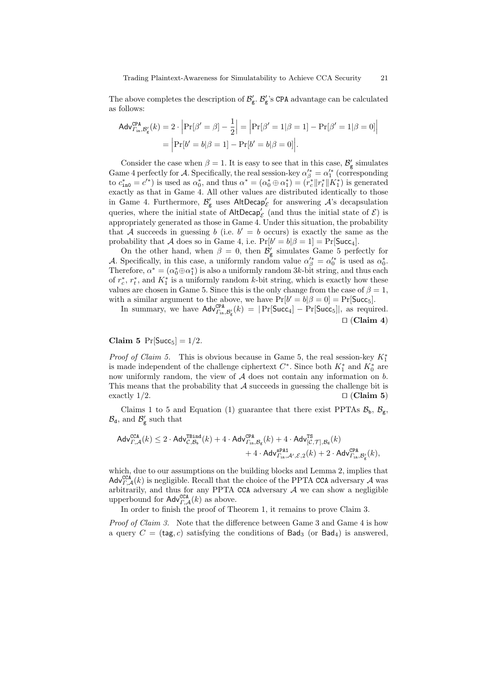The above completes the description of  $\mathcal{B}'_{g}$ .  $\mathcal{B}'_{g}$ 's CPA advantage can be calculated as follows:

$$
\begin{aligned} \mathsf{Adv}_{\varGamma_{\mathrm{in}},\mathcal{B}_{\mathrm{g}}'}^{\mathsf{CPA}}(k) &= 2 \cdot \left| \Pr[\beta' = \beta] - \frac{1}{2} \right| = \left| \Pr[\beta' = 1 | \beta = 1] - \Pr[\beta' = 1 | \beta = 0] \right| \\ &= \left| \Pr[b' = b | \beta = 1] - \Pr[b' = b | \beta = 0] \right|. \end{aligned}
$$

Consider the case when  $\beta = 1$ . It is easy to see that in this case,  $\mathcal{B}'_{g}$  simulates Game 4 perfectly for *A*. Specifically, the real session-key  $\alpha'^*_{\beta} = \alpha'^*_{1}$  (corresponding to  $c_{\text{in0}}^* = c'^*$  is used as  $\alpha_0^*$ , and thus  $\alpha^* = (\alpha_0^* \oplus \alpha_1^*) = (r_c^* || r_t^* || K_1^*)$  is generated exactly as that in Game 4. All other values are distributed identically to those in Game 4. Furthermore,  $\mathcal{B}'_{\mathbf{g}}$  uses AltDecap<sup>'</sup><sub>C</sub> for answering  $\mathcal{A}$ 's decapsulation queries, where the initial state of  $\mathsf{AltDecap}'_{\mathcal{E}}$  (and thus the initial state of  $\mathcal{E}$ ) is appropriately generated as those in Game 4. Under this situation, the probability that *A* succeeds in guessing *b* (i.e.  $b' = b$  occurs) is exactly the same as the probability that *A* does so in Game 4, i.e.  $Pr[b' = b | \beta = 1] = Pr[\text{Succ}_4]$ .

On the other hand, when  $\beta = 0$ , then  $\mathcal{B}'_{g}$  simulates Game 5 perfectly for *A*. Specifically, in this case, a uniformly random value  $\alpha'^*_{\beta} = \alpha'^*_{0}$  is used as  $\alpha^*_{0}$ . Therefore,  $\alpha^* = (\alpha_0^* \oplus \alpha_1^*)$  is also a uniformly random 3*k*-bit string, and thus each of  $r_c^*$ ,  $r_t^*$ , and  $K_1^*$  is a uniformly random *k*-bit string, which is exactly how these values are chosen in Game 5. Since this is the only change from the case of  $\beta = 1$ , with a similar argument to the above, we have  $Pr[b' = b | \beta = 0] = Pr[\text{Succ}_5]$ .

In summary, we have  $\mathsf{Adv}_{\Gamma_{\text{in}},\mathcal{B}_{g}'}^{CPA}(k) = |\Pr[\mathsf{Succ}_4] - \Pr[\mathsf{Succ}_5]|$ , as required. *⊓⊔* (**Claim 4**)

**Claim 5**  $Pr[Succ_5] = 1/2$ *.* 

*Proof of Claim 5.* This is obvious because in Game 5, the real session-key *K<sup>∗</sup>* 1 is made independent of the challenge ciphertext  $C^*$ . Since both  $K_1^*$  and  $K_0^*$  are now uniformly random, the view of *A* does not contain any information on *b*. This means that the probability that *A* succeeds in guessing the challenge bit is exactly 1*/*2. *⊓⊔* (**Claim 5**)

Claims 1 to 5 and Equation (1) guarantee that there exist PPTAs  $\mathcal{B}_b$ ,  $\mathcal{B}_g$ ,  $\mathcal{B}_{d}$ , and  $\mathcal{B}'_{g}$  such that

$$
\begin{aligned} \mathsf{Adv}_{\varGamma,\mathcal{A}}^{\mathsf{CCA}}(k) & \leq 2 \cdot \mathsf{Adv}_{\mathcal{C},\mathcal{B}_{\mathrm{b}}}^{\mathsf{TBind}}(k) + 4 \cdot \mathsf{Adv}_{\varGamma_{\mathrm{in}},\mathcal{B}_{\mathrm{g}}}^{\mathsf{CPA}}(k) + 4 \cdot \mathsf{Adv}_{[\mathcal{C},\mathcal{T}],\mathcal{B}_{\mathrm{d}}}^{\mathsf{TS}}(k) \\ & \qquad \qquad + 4 \cdot \mathsf{Adv}_{\varGamma_{\mathrm{in}},\mathcal{A}',\mathcal{E},2}^{\mathsf{CPA}}(k) + 2 \cdot \mathsf{Adv}_{\varGamma_{\mathrm{in}},\mathcal{B}'_{\mathrm{g}}}(k), \end{aligned}
$$

which, due to our assumptions on the building blocks and Lemma 2, implies that  $\mathsf{Adv}_{\mathit{\Gamma,A}}^{\mathsf{CCA}}(k)$  is negligible. Recall that the choice of the PPTA CCA adversary  $\mathcal A$  was arbitrarily, and thus for any PPTA CCA adversary  $A$  we can show a negligible upperbound for  $\mathsf{Adv}_{\mathcal{F},\mathcal{A}}^{\mathsf{CCA}}(k)$  as above.

In order to finish the proof of Theorem 1, it remains to prove Claim 3.

*Proof of Claim 3.* Note that the difference between Game 3 and Game 4 is how a query  $C = (tag, c)$  satisfying the conditions of  $Bad<sub>3</sub>$  (or  $Bad<sub>4</sub>$ ) is answered,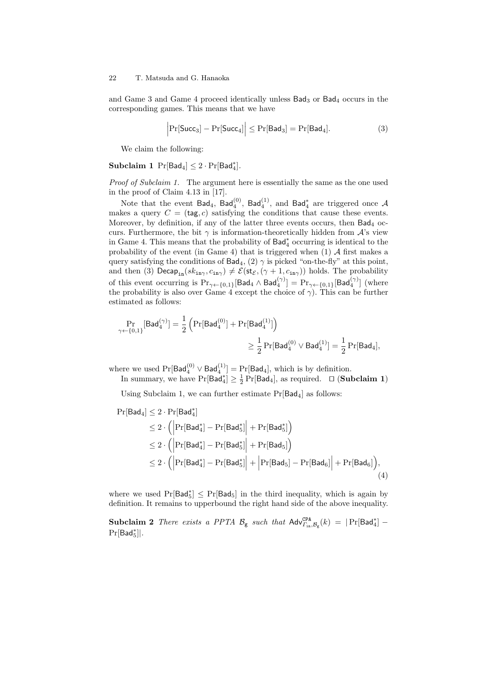and Game 3 and Game 4 proceed identically unless  $Bad<sub>3</sub>$  or  $Bad<sub>4</sub>$  occurs in the corresponding games. This means that we have

$$
\left|\Pr[\mathsf{Succ}_3] - \Pr[\mathsf{Succ}_4] \right| \le \Pr[\mathsf{Bad}_3] = \Pr[\mathsf{Bad}_4].\tag{3}
$$

We claim the following:

## $\textbf{Subclaim 1} \Pr[\textsf{Bad}_4] \leq 2 \cdot \Pr[\textsf{Bad}_4^*].$

*Proof of Subclaim 1.* The argument here is essentially the same as the one used in the proof of Claim 4.13 in [17].

Note that the event  $Bad_4$ ,  $Bad_4^{(0)}$ ,  $Bad_4^{(1)}$ , and  $Bad_4^*$  are triggered once  $A$ makes a query  $C = (tag, c)$  satisfying the conditions that cause these events. Moreover, by definition, if any of the latter three events occurs, then Bad<sub>4</sub> occurs. Furthermore, the bit  $\gamma$  is information-theoretically hidden from  $\mathcal{A}$ 's view in Game 4. This means that the probability of Bad*<sup>∗</sup>* <sup>4</sup> occurring is identical to the probability of the event (in Game 4) that is triggered when (1) *A* first makes a query satisfying the conditions of  $Bad<sub>4</sub>$ , (2)  $\gamma$  is picked "on-the-fly" at this point, and then (3)  $\textsf{Decap}_{\texttt{in}}(sk_{\texttt{in}\gamma}, c_{\texttt{in}\gamma}) \neq \mathcal{E}(\textsf{st}_{\mathcal{E}}, (\gamma + 1, c_{\texttt{in}\gamma}))$  holds. The probability of this event occurring is  $\Pr_{\gamma \leftarrow \{0,1\}}[\mathsf{Bad}_4 \wedge \mathsf{Bad}_4^{(\gamma)}] = \Pr_{\gamma \leftarrow \{0,1\}}[\mathsf{Bad}_4^{(\gamma)}]$  (where the probability is also over Game 4 except the choice of  $\gamma$ ). This can be further estimated as follows:

$$
\begin{aligned} \Pr_{\gamma \leftarrow \{0,1\}}[\mathsf{Bad}^{(\gamma)}_4] &= \frac{1}{2}\left(\Pr[\mathsf{Bad}^{(0)}_4] + \Pr[\mathsf{Bad}^{(1)}_4]\right) \\ &\geq \frac{1}{2}\Pr[\mathsf{Bad}^{(0)}_4 \vee \mathsf{Bad}^{(1)}_4] = \frac{1}{2}\Pr[\mathsf{Bad}_4], \end{aligned}
$$

where we used  $\Pr[\mathsf{Bad}_4^{(0)} \vee \mathsf{Bad}_4^{(1)}] = \Pr[\mathsf{Bad}_4]$ , which is by definition. In summary, we have  $Pr[Bad_4^*] \geq \frac{1}{2} Pr[Bad_4]$ , as required. *□* (**Subclaim 1**)

Using Subclaim 1, we can further estimate  $Pr[Bad_4]$  as follows:

$$
\begin{aligned} \Pr[\mathsf{Bad}_4] &\leq 2 \cdot \Pr[\mathsf{Bad}_4^*] \\ &\leq 2 \cdot \left( \left| \Pr[\mathsf{Bad}_4^*] - \Pr[\mathsf{Bad}_5^*] \right| + \Pr[\mathsf{Bad}_5^*] \right) \\ &\leq 2 \cdot \left( \left| \Pr[\mathsf{Bad}_4^*] - \Pr[\mathsf{Bad}_5^*] \right| + \Pr[\mathsf{Bad}_5] \right) \\ &\leq 2 \cdot \left( \left| \Pr[\mathsf{Bad}_4^*] - \Pr[\mathsf{Bad}_5^*] \right| + \left| \Pr[\mathsf{Bad}_5] - \Pr[\mathsf{Bad}_6] \right| + \Pr[\mathsf{Bad}_6] \right), \end{aligned} \tag{4}
$$

where we used  $Pr[Bad_5^*]$  ≤  $Pr[Bad_5]$  in the third inequality, which is again by definition. It remains to upperbound the right hand side of the above inequality.

**Subclaim 2** *There exists a PPTA*  $B_g$  *such that*  $\mathsf{Adv}_{\Gamma_{\text{in}}},B_g(k) = |\Pr[\mathsf{Bad}_4^*]$  –  $Pr[Bad<sub>5</sub><sup>*</sup>]$  $|.$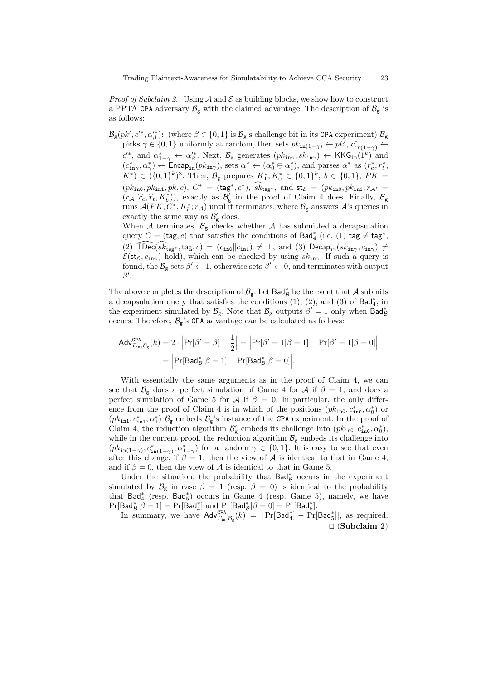*Proof of Subclaim 2.* Using  $A$  and  $E$  as building blocks, we show how to construct a PPTA CPA adversary  $\mathcal{B}_{g}$  with the claimed advantage. The description of  $\mathcal{B}_{g}$  is as follows:

 $B_{\mathsf{g}}(pk', c'^*, \alpha'^*_\beta)$ : (where  $\beta \in \{0, 1\}$  is  $B_{\mathsf{g}}$ 's challenge bit in its CPA experiment)  $B_{\mathsf{g}}$ picks  $\gamma \in \{0, 1\}$  uniformly at random, then sets  $pk_{\text{in}(1-\gamma)} \leftarrow pk'$ ,  $c_{\text{in}(1-\gamma)}^* \leftarrow$  $c'^{*}$ , and  $\alpha^{*}_{1-\gamma} \leftarrow \alpha'^{*}_{\beta}$ . Next,  $\mathcal{B}_{g}$  generates  $(pk_{\text{in}\gamma}, sk_{\text{in}\gamma}) \leftarrow \text{KKG}_{\text{in}}(1^{k})$  and  $(c_{\text{in}\gamma}^*, \alpha_{\gamma}^*) \leftarrow \text{Encap}_{\text{in}}(pk_{\text{in}\gamma})$ , sets  $\alpha^* \leftarrow (\alpha_0^* \oplus \alpha_1^*)$ , and parses  $\alpha^*$  as  $(r_c^*, r_t^*,$  $K_1^*$   $\in (\{0,1\}^k)^3$ . Then,  $\mathcal{B}_g$  prepares  $K_1^*, K_0^* \in \{0,1\}^k$ ,  $b \in \{0,1\}$ ,  $PK =$  $(pk_{\text{in0}}, pk_{\text{in1}}, pk, c)$ ,  $C^* = (\text{tag}^*, c^*)$ ,  $s k_{\text{tag}^*}$ , and  $\text{st}_{\mathcal{E}} = (p k_{\text{in0}}, p k_{\text{in1}}, r_{\mathcal{A}'} =$  $(r_A, \hat{r}_c, \hat{r}_t, K_t^*)$ , exactly as  $\mathcal{B}'_g$  in the proof of Claim 4 does. Finally,  $\mathcal{B}_g$ <br>with  $(K_t, K_t^*)$ , which is tensing to relate  $R$  corresponded in provision runs  $\mathcal{A}(PK, C^*, K_b^*; r_{\mathcal{A}})$  until it terminates, where  $\mathcal{B}_{\mathsf{g}}$  answers  $\mathcal{A}$ 's queries in exactly the same way as  $\mathcal{B}'_{\mathbf{g}}$  does. When  $A$  terminates,  $B_g$  checks whether  $A$  has submitted a decapsulation query  $C = (\mathsf{tag}, c)$  that satisfies the conditions of  $\mathsf{Bad}^*_4$  (i.e. (1)  $\mathsf{tag} \neq \mathsf{tag}^*,$ 

 $(2)$  TDec( $sk_{\text{tag}}*$ , tag,  $c$ ) = ( $c_{\text{in0}}$  $\|c_{\text{in1}}\| \neq \bot$ , and (3) Decap<sub>in</sub>( $sk_{\text{in}\gamma}$ ,  $c_{\text{in}\gamma}$ )  $\neq$  $\mathcal{E}(\mathsf{st}_{\mathcal{E}}, c_{\mathsf{in}\gamma})$  hold), which can be checked by using  $sk_{\mathsf{in}\gamma}$ . If such a query is found, the  $\mathcal{B}_{g}$  sets  $\beta' \leftarrow 1$ , otherwise sets  $\beta' \leftarrow 0$ , and terminates with output *β ′* .

The above completes the description of  $\mathcal{B}_{g}$ . Let  $\textsf{Bad}^{*}_{\mathcal{B}}$  be the event that  $\mathcal{A}$  submits a decapsulation query that satisfies the conditions  $(1)$ ,  $(2)$ , and  $(3)$  of Bad<sup>\*</sup><sub>4</sub>, in the experiment simulated by  $B_g$ . Note that  $B_g$  outputs  $\beta' = 1$  only when  $Bad^*_\beta$ occurs. Therefore,  $\mathcal{B}_{g}$ 's CPA advantage can be calculated as follows:

$$
\begin{aligned} \mathsf{Adv}_{\varGamma_{\mathrm{in}},\mathcal{B}_{\mathrm{g}}}^{\mathsf{CPA}}(k) &= 2 \cdot \left| \Pr[\beta' = \beta] - \frac{1}{2} \right| = \left| \Pr[\beta' = 1 | \beta = 1] - \Pr[\beta' = 1 | \beta = 0] \right| \\ &= \left| \Pr[\mathsf{Bad}_{\mathcal{B}}^{*} | \beta = 1] - \Pr[\mathsf{Bad}_{\mathcal{B}}^{*} | \beta = 0] \right|. \end{aligned}
$$

With essentially the same arguments as in the proof of Claim 4, we can see that  $\mathcal{B}_{g}$  does a perfect simulation of Game 4 for *A* if  $\beta = 1$ , and does a perfect simulation of Game 5 for *A* if  $\beta = 0$ . In particular, the only difference from the proof of Claim 4 is in which of the positions  $(pk_{\text{in0}}, c^*_{\text{in0}}, \alpha_0^*)$  or  $(pk_{in1}, c_{in1}^*, \alpha_1^*)$   $\mathcal{B}_g$  embeds  $\mathcal{B}_g$ 's instance of the CPA experiment. In the proof of Claim 4, the reduction algorithm  $\mathcal{B}'_{g}$  embeds its challenge into  $(pk_{\text{in0}}, c^*_{\text{in0}}, \alpha^*_{0})$ , while in the current proof, the reduction algorithm  $\mathcal{B}_{g}$  embeds its challenge into  $(pk_{in(1-\gamma)}, c^*_{in(1-\gamma)}, \alpha^*_{1-\gamma})$  for a random  $\gamma \in \{0,1\}$ . It is easy to see that even after this change, if  $\beta = 1$ , then the view of  $\mathcal A$  is identical to that in Game 4, and if  $\beta = 0$ , then the view of  $\mathcal A$  is identical to that in Game 5.

Under the situation, the probability that Bad*<sup>∗</sup> <sup>B</sup>* occurs in the experiment simulated by  $\mathcal{B}_{g}$  in case  $\beta = 1$  (resp.  $\beta = 0$ ) is identical to the probability that Bad*<sup>∗</sup>* 4 (resp. Bad*<sup>∗</sup>* 5 ) occurs in Game 4 (resp. Game 5), namely, we have  $\Pr[\mathsf{Bad}_{\mathcal{B}}^*|\beta=1]=\Pr[\mathsf{Bad}_{4}^*] \text{ and } \Pr[\mathsf{Bad}_{\mathcal{B}}^*|\beta=0]=\Pr[\mathsf{Bad}_{5}^*].$ 

In summary, we have  $\mathsf{Adv}_{\Gamma_{\text{in}},\mathcal{B}_{g}}^{\mathsf{CPA}}(k) = |\Pr[\mathsf{Bad}_{4}^{*}] - \Pr[\mathsf{Bad}_{5}^{*}]|$ , as required. *⊓⊔* (**Subclaim 2**)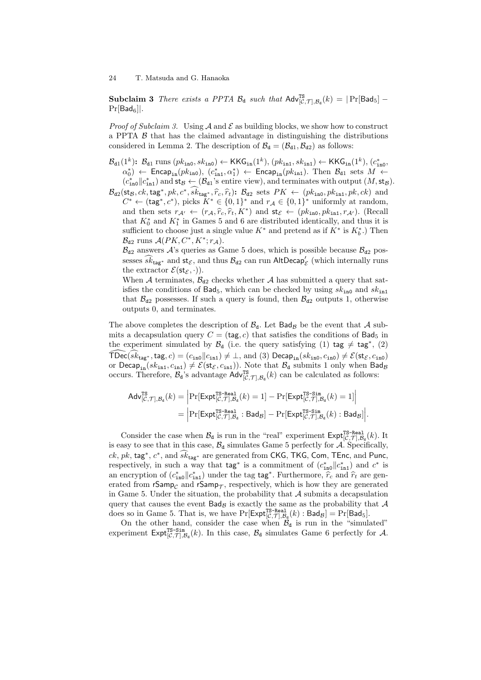**Subclaim 3** *There exists a PPTA*  $B_d$  *such that*  $Adv_{[C,\mathcal{T}],B_d}^{TS}(k) = |Pr[Bad_5] Pr[Bad<sub>6</sub>]$ *.* 

*Proof of Subclaim 3.* Using  $A$  and  $E$  as building blocks, we show how to construct a PPTA  $\beta$  that has the claimed advantage in distinguishing the distributions considered in Lemma 2. The description of  $B_d = (\mathcal{B}_{d1}, \mathcal{B}_{d2})$  as follows:

- $B_{d1}(1^k)$ :  $B_{d1}$  runs ( $pk_{\text{in0}}$ ,  $sk_{\text{in0}}$ ) ← KKG<sub>in</sub>(1<sup>k</sup>), ( $pk_{\text{in1}}$ ,  $sk_{\text{in1}}$ ) ← KKG<sub>in</sub>(1<sup>k</sup>), ( $c_{\text{in0}}^*$ ,  $\alpha_0^*$ )  $\leftarrow$  Encap<sub>in</sub>( $pk_{\text{in0}}$ ), ( $c_{\text{in1}}^*$ , $\alpha_1^*$ )  $\leftarrow$  Encap<sub>in</sub>( $pk_{\text{in1}}$ ). Then  $B_{d1}$  sets  $M \leftarrow$  $(c_{\text{in0}}^* || c_{\text{in1}}^*)$  and  $\mathsf{st}_\mathcal{B} \leftarrow (\mathcal{B}_{d1}^*$  is entire view), and terminates with output  $(M, \mathsf{st}_\mathcal{B})$ .
- $\mathcal{B}_{d2}(\mathsf{st}_\mathcal{B}, c k, \mathsf{tag}^*, pk, \hat{c}_c, \hat{r}_t): \mathcal{B}_{d2}$  sets  $PK \leftarrow (pk_{\text{in0}}, pk_{\text{in1}}, pk, ck)$  and<br> $C^* \leftarrow (bs, \hat{c}_c, \hat{c}_c, \hat{c}_c, \hat{c}_c, \hat{c}_c, \hat{c}_c, \hat{c}_c, \hat{c}_c, \hat{c}_c, \hat{c}_c, \hat{c}_c, \hat{c}_c, \hat{c}_c, \hat{c}_c, \hat{c}_c, \hat{c}_c, \hat$  $C^* \leftarrow (\text{tag}^*, c^*)$ , picks  $K^* \in \{0, 1\}^*$  and  $r_A \in \{0, 1\}^*$  uniformly at random, and then sets  $r_{\mathcal{A}'} \leftarrow (r_{\mathcal{A}}, \hat{r}_c, \hat{r}_t, K^*)$  and  $\mathsf{st}_{\mathcal{E}} \leftarrow (pk_{\mathsf{ino}}, pk_{\mathsf{in1}}, r_{\mathcal{A}'}).$  (Recall that  $K_0^*$  and  $K_1^*$  in Games 5 and 6 are distributed identically, and thus it is sufficient to choose just a single value  $K^*$  and pretend as if  $K^*$  is  $K_b^*$ .) Then  $\mathcal{B}_{d2}$  runs  $\mathcal{A}(PK, C^*, K^*; r_{\mathcal{A}}).$

 $B_{d2}$  answers  $A$ 's queries as Game 5 does, which is possible because  $B_{d2}$  possesses  $\widehat{sk}_{\texttt{tag}*}$  and  $\texttt{st}_{\mathcal{E}},$  and thus  $\mathcal{B}_{\texttt{d}2}$  can run AltDecap<sup>'</sup><sub> $\mathcal{E}}$ </sub> (which internally runs the extractor  $\mathcal{E}(\mathsf{st}_{\mathcal{E}},\cdot)$ .

When A terminates,  $\mathcal{B}_{d2}$  checks whether A has submitted a query that satisfies the conditions of  $Bad_5$ , which can be checked by using  $sk_{\text{in0}}$  and  $sk_{\text{in1}}$ that  $\mathcal{B}_{d2}$  possesses. If such a query is found, then  $\mathcal{B}_{d2}$  outputs 1, otherwise outputs 0, and terminates.

The above completes the description of  $B_d$ . Let  $Bad_B$  be the event that A submits a decapsulation query  $C = (tag, c)$  that satisfies the conditions of Bad<sub>5</sub> in the experiment simulated by  $\mathcal{B}_{d}$  (i.e. the query satisfying (1) tag  $\neq$  tag<sup>\*</sup>, (2)  $\text{TDec}(sk_{\text{tag}*}, \text{tag}, c) = (c_{\text{in0}} || c_{\text{in1}}) \neq \bot$ , and (3)  $\text{Decap}_{\text{in}}(sk_{\text{in0}}, c_{\text{in0}}) \neq \mathcal{E}(\text{st}_{\mathcal{E}}, c_{\text{in0}})$ or Decap<sub>in</sub>( $sk_{\text{in1}}, c_{\text{in1}}$ )  $\neq \mathcal{E}(\text{st}_{\mathcal{E}}, c_{\text{in1}})$ ). Note that  $\mathcal{B}_{d}$  submits 1 only when Bad<sub>*B*</sub> occurs. Therefore,  $B_d$ 's advantage  $Adv_{[C, \mathcal{T}], B_d}^{\text{TS}}(k)$  can be calculated as follows:

$$
\begin{aligned} \mathsf{Adv}_{[\mathcal{C},\mathcal{T}],\mathcal{B}_\mathbf{d}}^{\mathsf{TS}}(k) &= \Big|\mathrm{Pr}[\mathsf{Expt}_{[\mathcal{C},\mathcal{T}],\mathcal{B}_\mathbf{d}}^{\mathsf{TS}\text{-}\mathbf{Real}}(k) = 1] - \mathrm{Pr}[\mathsf{Expt}_{[\mathcal{C},\mathcal{T}],\mathcal{B}_\mathbf{d}}^{\mathsf{TS}\text{-}\mathbf{Sim}}(k) = 1]\Big| \\ &= \Big|\mathrm{Pr}[\mathsf{Expt}_{[\mathcal{C},\mathcal{T}],\mathcal{B}_\mathbf{d}}^{\mathsf{TS}\text{-}\mathbf{Real}}:\mathsf{Bad}_{\mathcal{B}}] - \mathrm{Pr}[\mathsf{Expt}_{[\mathcal{C},\mathcal{T}],\mathcal{B}_\mathbf{d}}^{\mathsf{TS}\text{-}\mathbf{Sim}}(k) : \mathsf{Bad}_{\mathcal{B}}]\Big|. \end{aligned}
$$

Consider the case when  $\mathcal{B}_d$  is run in the "real" experiment  $\text{Expt}_{[C,\mathcal{T}],\mathcal{B}_d}^{\text{TS-Real}}(k)$ . It is easy to see that in this case,  $B_d$  simulates Game 5 perfectly for  $\mathcal{A}$ . Specifically,  $ck$ ,  $pk$ ,  $\texttt{tag}^*, c^*$ , and  $sk_{\texttt{tag}^*}$  are generated from CKG, TKG, Com, TEnc, and Punc, respectively, in such a way that  $\text{tag}^*$  is a commitment of  $(c_{\text{in0}}^* || c_{\text{in1}}^*)$  and  $c^*$  is an encryption of  $(c_{\text{in}}^*||c_{\text{in}}^*)$  under the tag tag<sup>∗</sup>. Furthermore,  $\hat{r}_c$  and  $\hat{r}_t$  are generated from  $\mathsf{rSamp}_\mathcal{C}$  and  $\mathsf{rSamp}_\mathcal{T},$  respectively, which is how they are generated in Game 5. Under the situation, the probability that *A* submits a decapsulation query that causes the event  $BadB$  is exactly the same as the probability that  $A$ does so in Game 5. That is, we have  $\Pr[\mathsf{Expt}_{[\mathcal{C},\mathcal{T}],\mathcal{B}_d}^{\text{TS-Real}}(k): \mathsf{Bad}_{\mathcal{B}}] = \Pr[\mathsf{Bad}_{5}].$ 

On the other hand, consider the case when  $B_d$  is run in the "simulated" experiment  $\text{Expt}^{\text{TS-Sim}}_{[\mathcal{C},\mathcal{T}],\mathcal{B}_d}(k)$ . In this case,  $\mathcal{B}_d$  simulates Game 6 perfectly for *A*.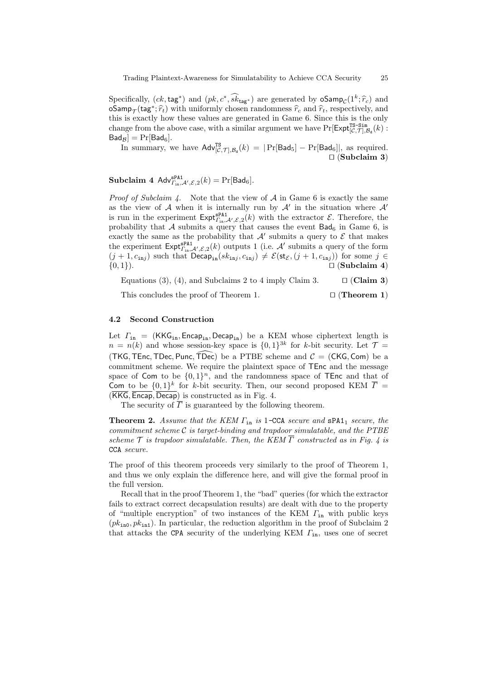Specifically,  $(ck, \text{tag}*)$  and  $(pk, c*, \overline{sk}_{\text{tag}*})$  are generated by  $\text{oSamp}_C(1^k; \hat{r}_c)$  and **oSamp** $\tau$ (tag<sup>∗</sup>;  $\hat{r}_t$ ) with uniformly chosen randomness  $\hat{r}_t$  and  $\hat{r}_t$ , respectively, and this is the substitution of the substitution of the substitution of the substitution of the substitution of the subs this is exactly how these values are generated in Game 6. Since this is the only change from the above case, with a similar argument we have  $Pr[Expt_{[C,\mathcal{T}],\mathcal{B}_d}^{TS-Sim}(k)$ :  $Bad_B$ ] =  $Pr[Bad_6]$ .

In summary, we have  $\mathsf{Adv}_{[C,\mathcal{T}],\mathcal{B}_d}^{TS}(k) = |\Pr[\mathsf{Bad}_5] - \Pr[\mathsf{Bad}_6]|$ , as required. *⊓⊔* (**Subclaim 3**)

 $\textbf{Subclaim 4 Adv}_{\Gamma_{\text{in}},\mathcal{A}',\mathcal{E},2}(k) = \Pr[\mathsf{Bad}_6].$ 

*Proof of Subclaim 4.* Note that the view of *A* in Game 6 is exactly the same as the view of *A* when it is internally run by *A′* in the situation where *A′* is run in the experiment  $\text{Expt}_{\Gamma_{\text{in}}^{\text{spA1}},\mathcal{L}',\mathcal{E},2}(k)$  with the extractor  $\mathcal{E}$ . Therefore, the probability that  $A$  submits a query that causes the event  $Bad<sub>6</sub>$  in Game 6, is exactly the same as the probability that  $A'$  submits a query to  $\mathcal E$  that makes the experiment  $\text{Expt}_{\Gamma_{\text{in}},\mathcal{A}',\mathcal{E},2}(k)$  outputs 1 (i.e.  $\mathcal{A}'$  submits a query of the form  $(j + 1, c_{\text{in}j})$  such that  $\textsf{Decap}_{\text{in}}(sk_{\text{in}j}, c_{\text{in}j}) \neq \mathcal{E}(\textsf{st}_{\mathcal{E}},(j + 1, c_{\text{in}j}))$  for some  $j \in$ *{*0*,* 1*}*). *⊓⊔* (**Subclaim 4**)

Equations (3), (4), and Subclaims 2 to 4 imply Claim 3. *⊓⊔* (**Claim 3**)

This concludes the proof of Theorem 1. *⊓⊔* (**Theorem 1**)

#### **4.2 Second Construction**

Let *Γ*<sub>in</sub> = (KKG<sub>in</sub>, Encap<sub>in</sub>, Decap<sub>in</sub>) be a KEM whose ciphertext length is  $n = n(k)$  and whose session-key space is  $\{0,1\}^{3k}$  for *k*-bit security. Let  $\mathcal{T} =$ (TKG, TEnc, TDec, Punc, TDec) be a PTBE scheme and  $C = (CKG, Com)$  be a commitment scheme. We require the plaintext space of TEnc and the message space of Com to be  $\{0,1\}^n$ , and the randomness space of TEnc and that of Com to be  $\{0,1\}^k$  for *k*-bit security. Then, our second proposed KEM  $\overline{\Gamma}$  = (KKG*,* Encap*,* Decap) is constructed as in Fig. 4.

The security of  $\overline{\Gamma}$  is guaranteed by the following theorem.

**Theorem 2.** *Assume that the KEM*  $\Gamma_{\text{in}}$  *is* 1–CCA *secure and*  $\text{sPA1}_1$  *secure, the commitment scheme C is target-binding and trapdoor simulatable, and the PTBE scheme T is trapdoor simulatable. Then, the KEM Γ constructed as in Fig. 4 is* CCA *secure.*

The proof of this theorem proceeds very similarly to the proof of Theorem 1, and thus we only explain the difference here, and will give the formal proof in the full version.

Recall that in the proof Theorem 1, the "bad" queries (for which the extractor fails to extract correct decapsulation results) are dealt with due to the property of "multiple encryption" of two instances of the KEM *Γ*in with public keys  $(pk<sub>in0</sub>, pk<sub>in1</sub>)$ . In particular, the reduction algorithm in the proof of Subclaim 2 that attacks the CPA security of the underlying KEM *Γ*in, uses one of secret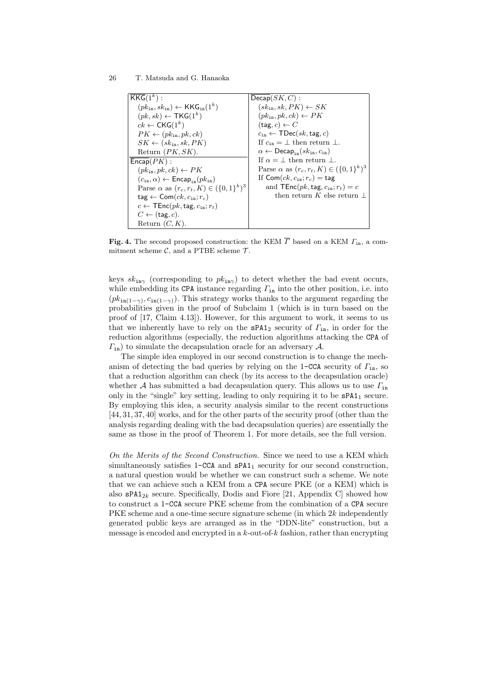26 T. Matsuda and G. Hanaoka

| $KKG(1^k)$ :                                                                    | $Decap(SK, C)$ :                                                          |
|---------------------------------------------------------------------------------|---------------------------------------------------------------------------|
| $(pk_{\text{in}}, sk_{\text{in}}) \leftarrow \mathsf{KKG}_{\text{in}}(1^k)$     | $(s k_{\text{in}}, sk, PK) \leftarrow SK$                                 |
| $(pk, sk) \leftarrow \text{TKG}(1^k)$                                           | $(pk_{\text{in}}, pk, ck) \leftarrow PK$                                  |
| $ck \leftarrow CKG(1^k)$                                                        | $(\texttt{tag}, c) \leftarrow C$                                          |
| $PK \leftarrow (pk_{in}, pk, ck)$                                               | $c_{\text{in}} \leftarrow \text{TDec}(sk, \text{tag}, c)$                 |
| $SK \leftarrow (sk_{in}, sk, PK)$                                               | If $c_{\rm in} = \perp$ then return $\perp$ .                             |
| Return $(PK, SK)$ .                                                             | $\alpha \leftarrow \mathsf{Decap}_{\{n\}}(sk_{\text{in}}, c_{\text{in}})$ |
| $\mathsf{Encap}(PK)$ :                                                          | If $\alpha = \perp$ then return $\perp$ .                                 |
| $(pk_{\text{in}}, pk, ck) \leftarrow PK$                                        | Parse $\alpha$ as $(r_c, r_t, K) \in (\{0, 1\}^k)^3$                      |
| $(c_{\text{in}}, \alpha) \leftarrow \mathsf{Encap}_{\text{in}}(pk_{\text{in}})$ | If Com $(ck, c_{\text{in}}; r_c) = \text{tag}$                            |
| Parse $\alpha$ as $(r_c, r_t, K) \in (\{0, 1\}^k)^3$                            | and $\mathsf{TEnc}(pk, \mathsf{tag}, c_{\text{in}}; r_t) = c$             |
| $\text{tag} \leftarrow \textsf{Com}(ck, c_{\text{in}}; r_c)$                    | then return K else return $\perp$                                         |
| $c \leftarrow \mathsf{TEnc}(pk, \mathsf{tag}, c_{\text{in}}; r_t)$              |                                                                           |
| $C \leftarrow$ (tag, c).                                                        |                                                                           |
| Return $(C, K)$ .                                                               |                                                                           |

**Fig. 4.** The second proposed construction: the KEM *Γ* based on a KEM *Γ*in, a commitment scheme  $C$ , and a PTBE scheme  $T$ .

keys  $sk_{\text{inv}}$  (corresponding to  $pk_{\text{inv}}$ ) to detect whether the bad event occurs, while embedding its CPA instance regarding  $\Gamma_{\text{in}}$  into the other position, i.e. into  $(pk_{\text{in}(1-\gamma)}, c_{\text{in}(1-\gamma)})$ . This strategy works thanks to the argument regarding the probabilities given in the proof of Subclaim 1 (which is in turn based on the proof of [17, Claim 4.13]). However, for this argument to work, it seems to us that we inherently have to rely on the sPA1<sup>2</sup> security of *Γ*in, in order for the reduction algorithms (especially, the reduction algorithms attacking the CPA of *Γ*in) to simulate the decapsulation oracle for an adversary *A*.

The simple idea employed in our second construction is to change the mechanism of detecting the bad queries by relying on the 1-CCA security of *Γ*in, so that a reduction algorithm can check (by its access to the decapsulation oracle) whether *A* has submitted a bad decapsulation query. This allows us to use  $\Gamma_{\text{in}}$ only in the "single" key setting, leading to only requiring it to be  $\texttt{sPA1}_1$  secure. By employing this idea, a security analysis similar to the recent constructions [44, 31, 37, 40] works, and for the other parts of the security proof (other than the analysis regarding dealing with the bad decapsulation queries) are essentially the same as those in the proof of Theorem 1. For more details, see the full version.

*On the Merits of the Second Construction.* Since we need to use a KEM which simultaneously satisfies  $1$ -CCA and  $sPA1<sub>1</sub>$  security for our second construction, a natural question would be whether we can construct such a scheme. We note that we can achieve such a KEM from a CPA secure PKE (or a KEM) which is also  $\texttt{sPA1}_{2k}$  secure. Specifically, Dodis and Fiore [21, Appendix C] showed how to construct a 1-CCA secure PKE scheme from the combination of a CPA secure PKE scheme and a one-time secure signature scheme (in which 2*k* independently generated public keys are arranged as in the "DDN-lite" construction, but a message is encoded and encrypted in a *k*-out-of-*k* fashion, rather than encrypting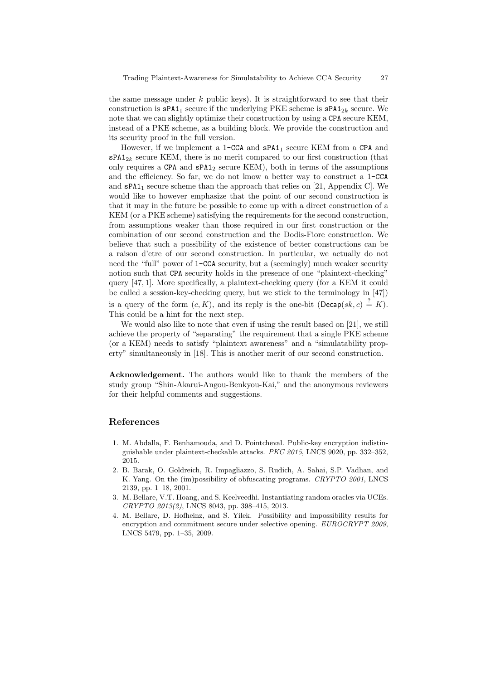the same message under *k* public keys). It is straightforward to see that their construction is  $\texttt{sPA1}_1$  secure if the underlying PKE scheme is  $\texttt{sPA1}_{2k}$  secure. We note that we can slightly optimize their construction by using a CPA secure KEM, instead of a PKE scheme, as a building block. We provide the construction and its security proof in the full version.

However, if we implement a  $1$ -CCA and  $sPA1<sub>1</sub>$  secure KEM from a CPA and  $\texttt{sPA1}_{2k}$  secure KEM, there is no merit compared to our first construction (that only requires a CPA and  $sPA1<sub>2</sub>$  secure KEM), both in terms of the assumptions and the efficiency. So far, we do not know a better way to construct a 1-CCA and  $\texttt{sPA1}_1$  secure scheme than the approach that relies on [21, Appendix C]. We would like to however emphasize that the point of our second construction is that it may in the future be possible to come up with a direct construction of a KEM (or a PKE scheme) satisfying the requirements for the second construction, from assumptions weaker than those required in our first construction or the combination of our second construction and the Dodis-Fiore construction. We believe that such a possibility of the existence of better constructions can be a raison d'etre of our second construction. In particular, we actually do not need the "full" power of 1-CCA security, but a (seemingly) much weaker security notion such that CPA security holds in the presence of one "plaintext-checking" query [47, 1]. More specifically, a plaintext-checking query (for a KEM it could be called a session-key-checking query, but we stick to the terminology in [47]) is a query of the form  $(c, K)$ , and its reply is the one-bit (Decap( $sk, c$ )  $\stackrel{?}{=} K$ ). This could be a hint for the next step.

We would also like to note that even if using the result based on [21], we still achieve the property of "separating" the requirement that a single PKE scheme (or a KEM) needs to satisfy "plaintext awareness" and a "simulatability property" simultaneously in [18]. This is another merit of our second construction.

**Acknowledgement.** The authors would like to thank the members of the study group "Shin-Akarui-Angou-Benkyou-Kai," and the anonymous reviewers for their helpful comments and suggestions.

## **References**

- 1. M. Abdalla, F. Benhamouda, and D. Pointcheval. Public-key encryption indistinguishable under plaintext-checkable attacks. *PKC 2015*, LNCS 9020, pp. 332–352, 2015.
- 2. B. Barak, O. Goldreich, R. Impagliazzo, S. Rudich, A. Sahai, S.P. Vadhan, and K. Yang. On the (im)possibility of obfuscating programs. *CRYPTO 2001*, LNCS 2139, pp. 1–18, 2001.
- 3. M. Bellare, V.T. Hoang, and S. Keelveedhi. Instantiating random oracles via UCEs. *CRYPTO 2013(2)*, LNCS 8043, pp. 398–415, 2013.
- 4. M. Bellare, D. Hofheinz, and S. Yilek. Possibility and impossibility results for encryption and commitment secure under selective opening. *EUROCRYPT 2009*, LNCS 5479, pp. 1–35, 2009.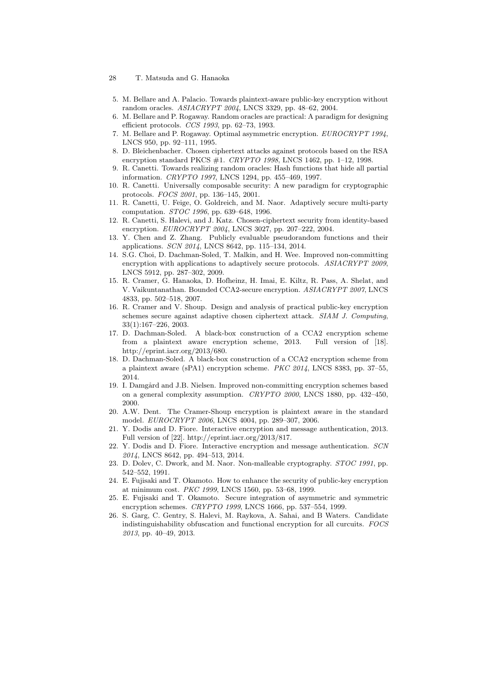- 5. M. Bellare and A. Palacio. Towards plaintext-aware public-key encryption without random oracles. *ASIACRYPT 2004*, LNCS 3329, pp. 48–62, 2004.
- 6. M. Bellare and P. Rogaway. Random oracles are practical: A paradigm for designing efficient protocols. *CCS 1993*, pp. 62–73, 1993.
- 7. M. Bellare and P. Rogaway. Optimal asymmetric encryption. *EUROCRYPT 1994*, LNCS 950, pp. 92–111, 1995.
- 8. D. Bleichenbacher. Chosen ciphertext attacks against protocols based on the RSA encryption standard PKCS #1. *CRYPTO 1998*, LNCS 1462, pp. 1–12, 1998.
- 9. R. Canetti. Towards realizing random oracles: Hash functions that hide all partial information. *CRYPTO 1997*, LNCS 1294, pp. 455–469, 1997.
- 10. R. Canetti. Universally composable security: A new paradigm for cryptographic protocols. *FOCS 2001*, pp. 136–145, 2001.
- 11. R. Canetti, U. Feige, O. Goldreich, and M. Naor. Adaptively secure multi-party computation. *STOC 1996*, pp. 639–648, 1996.
- 12. R. Canetti, S. Halevi, and J. Katz. Chosen-ciphertext security from identity-based encryption. *EUROCRYPT 2004*, LNCS 3027, pp. 207–222, 2004.
- 13. Y. Chen and Z. Zhang. Publicly evaluable pseudorandom functions and their applications. *SCN 2014*, LNCS 8642, pp. 115–134, 2014.
- 14. S.G. Choi, D. Dachman-Soled, T. Malkin, and H. Wee. Improved non-committing encryption with applications to adaptively secure protocols. *ASIACRYPT 2009*, LNCS 5912, pp. 287–302, 2009.
- 15. R. Cramer, G. Hanaoka, D. Hofheinz, H. Imai, E. Kiltz, R. Pass, A. Shelat, and V. Vaikuntanathan. Bounded CCA2-secure encryption. *ASIACRYPT 2007*, LNCS 4833, pp. 502–518, 2007.
- 16. R. Cramer and V. Shoup. Design and analysis of practical public-key encryption schemes secure against adaptive chosen ciphertext attack. *SIAM J. Computing*, 33(1):167–226, 2003.
- 17. D. Dachman-Soled. A black-box construction of a CCA2 encryption scheme from a plaintext aware encryption scheme, 2013. Full version of [18]. http://eprint.iacr.org/2013/680.
- 18. D. Dachman-Soled. A black-box construction of a CCA2 encryption scheme from a plaintext aware (sPA1) encryption scheme. *PKC 2014*, LNCS 8383, pp. 37–55, 2014.
- 19. I. Damgård and J.B. Nielsen. Improved non-committing encryption schemes based on a general complexity assumption. *CRYPTO 2000*, LNCS 1880, pp. 432–450, 2000.
- 20. A.W. Dent. The Cramer-Shoup encryption is plaintext aware in the standard model. *EUROCRYPT 2006*, LNCS 4004, pp. 289–307, 2006.
- 21. Y. Dodis and D. Fiore. Interactive encryption and message authentication, 2013. Full version of [22]. http://eprint.iacr.org/2013/817.
- 22. Y. Dodis and D. Fiore. Interactive encryption and message authentication. *SCN 2014*, LNCS 8642, pp. 494–513, 2014.
- 23. D. Dolev, C. Dwork, and M. Naor. Non-malleable cryptography. *STOC 1991*, pp. 542–552, 1991.
- 24. E. Fujisaki and T. Okamoto. How to enhance the security of public-key encryption at minimum cost. *PKC 1999*, LNCS 1560, pp. 53–68, 1999.
- 25. E. Fujisaki and T. Okamoto. Secure integration of asymmetric and symmetric encryption schemes. *CRYPTO 1999*, LNCS 1666, pp. 537–554, 1999.
- 26. S. Garg, C. Gentry, S. Halevi, M. Raykova, A. Sahai, and B Waters. Candidate indistinguishability obfuscation and functional encryption for all curcuits. *FOCS 2013*, pp. 40–49, 2013.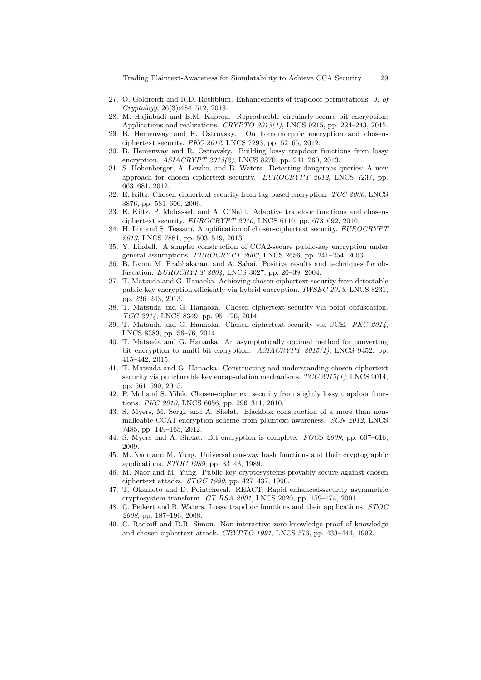Trading Plaintext-Awareness for Simulatability to Achieve CCA Security 29

- 27. O. Goldreich and R.D. Rothblum. Enhancements of trapdoor permutations. *J. of Cryptology*, 26(3):484–512, 2013.
- 28. M. Hajiabadi and B.M. Kapron. Reproducible circularly-secure bit encryption: Applications and realizations. *CRYPTO 2015(1)*, LNCS 9215, pp. 224–243, 2015.
- 29. B. Hemenway and R. Ostrovsky. On homomorphic encryption and chosenciphertext security. *PKC 2012*, LNCS 7293, pp. 52–65, 2012.
- 30. B. Hemenway and R. Ostrovsky. Building lossy trapdoor functions from lossy encryption. *ASIACRYPT 2013(2)*, LNCS 8270, pp. 241–260, 2013.
- 31. S. Hohenberger, A. Lewko, and B. Waters. Detecting dangerous queries: A new approach for chosen ciphertext security. *EUROCRYPT 2012*, LNCS 7237, pp. 663–681, 2012.
- 32. E. Kiltz. Chosen-ciphertext security from tag-based encryption. *TCC 2006*, LNCS 3876, pp. 581–600, 2006.
- 33. E. Kiltz, P. Mohassel, and A. O'Neill. Adaptive trapdoor functions and chosenciphertext security. *EUROCRYPT 2010*, LNCS 6110, pp. 673–692, 2010.
- 34. H. Lin and S. Tessaro. Amplification of chosen-ciphertext security. *EUROCRYPT 2013*, LNCS 7881, pp. 503–519, 2013.
- 35. Y. Lindell. A simpler construction of CCA2-secure public-key encryption under general assumptions. *EUROCRYPT 2003*, LNCS 2656, pp. 241–254, 2003.
- 36. B. Lynn, M. Prabhakaran, and A. Sahai. Positive results and techniques for obfuscation. *EUROCRYPT 2004*, LNCS 3027, pp. 20–39, 2004.
- 37. T. Matsuda and G. Hanaoka. Achieving chosen ciphertext security from detectable public key encryption efficiently via hybrid encryption. *IWSEC 2013*, LNCS 8231, pp. 226–243, 2013.
- 38. T. Matsuda and G. Hanaoka. Chosen ciphertext security via point obfuscation. *TCC 2014*, LNCS 8349, pp. 95–120, 2014.
- 39. T. Matsuda and G. Hanaoka. Chosen ciphertext security via UCE. *PKC 2014*, LNCS 8383, pp. 56–76, 2014.
- 40. T. Matsuda and G. Hanaoka. An asymptotically optimal method for converting bit encryption to multi-bit encryption. *ASIACRYPT 2015(1)*, LNCS 9452, pp. 415–442, 2015.
- 41. T. Matsuda and G. Hanaoka. Constructing and understanding chosen ciphertext security via puncturable key encapsulation mechanisms. *TCC 2015(1)*, LNCS 9014, pp. 561–590, 2015.
- 42. P. Mol and S. Yilek. Chosen-ciphertext security from slightly lossy trapdoor functions. *PKC 2010*, LNCS 6056, pp. 296–311, 2010.
- 43. S. Myers, M. Sergi, and A. Shelat. Blackbox construction of a more than nonmalleable CCA1 encryption scheme from plaintext awareness. *SCN 2012*, LNCS 7485, pp. 149–165, 2012.
- 44. S. Myers and A. Shelat. Bit encryption is complete. *FOCS 2009*, pp. 607–616, 2009.
- 45. M. Naor and M. Yung. Universal one-way hash functions and their cryptographic applications. *STOC 1989*, pp. 33–43, 1989.
- 46. M. Naor and M. Yung. Public-key cryptosystems provably secure against chosen ciphertext attacks. *STOC 1990*, pp. 427–437, 1990.
- 47. T. Okamoto and D. Pointcheval. REACT: Rapid enhanced-security asymmetric cryptosystem transform. *CT-RSA 2001*, LNCS 2020, pp. 159–174, 2001.
- 48. C. Peikert and B. Waters. Lossy trapdoor functions and their applications. *STOC 2008*, pp. 187–196, 2008.
- 49. C. Rackoff and D.R. Simon. Non-interactive zero-knowledge proof of knowledge and chosen ciphertext attack. *CRYPTO 1991*, LNCS 576, pp. 433–444, 1992.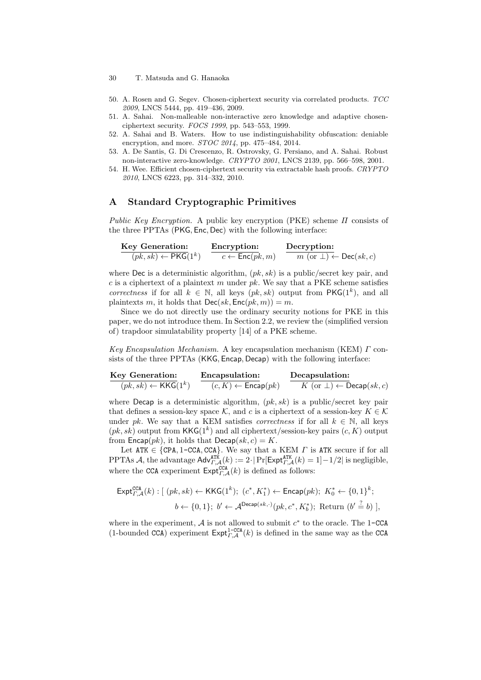- 30 T. Matsuda and G. Hanaoka
- 50. A. Rosen and G. Segev. Chosen-ciphertext security via correlated products. *TCC 2009*, LNCS 5444, pp. 419–436, 2009.
- 51. A. Sahai. Non-malleable non-interactive zero knowledge and adaptive chosenciphertext security. *FOCS 1999*, pp. 543–553, 1999.
- 52. A. Sahai and B. Waters. How to use indistinguishability obfuscation: deniable encryption, and more. *STOC 2014*, pp. 475–484, 2014.
- 53. A. De Santis, G. Di Crescenzo, R. Ostrovsky, G. Persiano, and A. Sahai. Robust non-interactive zero-knowledge. *CRYPTO 2001*, LNCS 2139, pp. 566–598, 2001.
- 54. H. Wee. Efficient chosen-ciphertext security via extractable hash proofs. *CRYPTO 2010*, LNCS 6223, pp. 314–332, 2010.

## **A Standard Cryptographic Primitives**

*Public Key Encryption.* A public key encryption (PKE) scheme *Π* consists of the three PPTAs (PKG*,* Enc*,* Dec) with the following interface:

$$
\frac{\text{Key Generation:}}{(pk, sk) \leftarrow \text{PKG}(1^k)} \quad \frac{\text{Encryption:}}{c \leftarrow \text{Enc}(pk, m)} \quad \frac{\text{Decryption:}}{m \text{ (or } \bot) \leftarrow \text{Dec}(sk, c)}
$$

where **Dec** is a deterministic algorithm,  $(pk, sk)$  is a public/secret key pair, and *c* is a ciphertext of a plaintext *m* under *pk*. We say that a PKE scheme satisfies *correctness* if for all  $k \in \mathbb{N}$ , all keys  $(pk, sk)$  output from  $PKG(1^k)$ , and all plaintexts *m*, it holds that  $\text{Dec}(sk, \text{Enc}(pk, m)) = m$ .

Since we do not directly use the ordinary security notions for PKE in this paper, we do not introduce them. In Section 2.2, we review the (simplified version of) trapdoor simulatability property [14] of a PKE scheme.

*Key Encapsulation Mechanism.* A key encapsulation mechanism (KEM) *Γ* consists of the three PPTAs (KKG*,* Encap*,* Decap) with the following interface:

| Key Generation:                       | Encapsulation:                       | Decapsulation:                                    |
|---------------------------------------|--------------------------------------|---------------------------------------------------|
| $(pk, sk) \leftarrow \text{KKG}(1^k)$ | $(c, K) \leftarrow \text{Encap}(pk)$ | $K$ (or $\bot$ ) $\leftarrow \text{Decap}(sk, c)$ |

where Decap is a deterministic algorithm, (*pk, sk*) is a public/secret key pair that defines a session-key space  $K$ , and  $c$  is a ciphertext of a session-key  $K \in \mathcal{K}$ under *pk*. We say that a KEM satisfies *correctness* if for all  $k \in \mathbb{N}$ , all keys  $(pk, sk)$  output from  $\mathsf{KKG}(1^k)$  and all ciphertext/session-key pairs  $(c, K)$  output from  $\textsf{Encap}(pk)$ , it holds that  $\textsf{Decap}(sk, c) = K$ .

Let  $ATK \in \{CPA, 1-CCA, CCA\}$ . We say that a KEM *Γ* is ATK secure if for all  $\text{PPTAs } A$ , the advantage  $\text{Adv}_{T,A}^{\text{ATK}}(k) := 2 \cdot |\Pr[\text{Expt}_{T,A}^{\text{ATK}}(k) = 1] - 1/2|$  is negligible, where the CCA experiment  $\text{Expt}_{T,\mathcal{A}}^{\text{CCA}}(k)$  is defined as follows:

$$
\begin{aligned} \mathsf{Expt}_{\varGamma,\mathcal{A}}^{\mathsf{CCA}}(k): \left[ \ (pk, sk) \leftarrow \mathsf{KKG}(1^k); \ (c^*, K_1^*) \leftarrow \mathsf{Encap}(pk); \ K_0^* \leftarrow \{0, 1\}^k; \\ b &\leftarrow \{0, 1\}; \ b' \leftarrow \mathcal{A}^{\mathsf{Decap}(sk, \cdot)}(pk, c^*, K_b^*); \ \text{Return } (b' \stackrel{?}{=} b) \ \right], \end{aligned}
$$

where in the experiment,  $A$  is not allowed to submit  $c^*$  to the oracle. The 1-CCA (1-bounded CCA) experiment  $\text{Expt}_{T,A}^{1-\text{CCA}}(k)$  is defined in the same way as the CCA